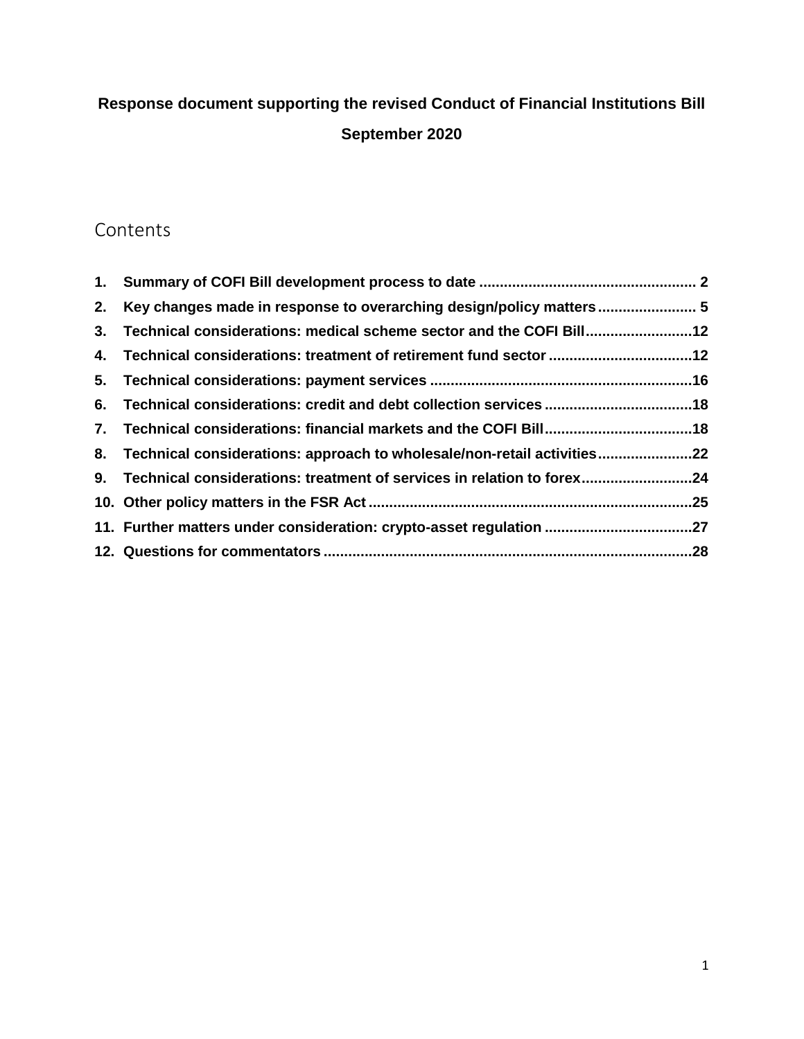# **Response document supporting the revised Conduct of Financial Institutions Bill September 2020**

# Contents

| 2. Key changes made in response to overarching design/policy matters5      |  |
|----------------------------------------------------------------------------|--|
| 3. Technical considerations: medical scheme sector and the COFI Bill12     |  |
| 4. Technical considerations: treatment of retirement fund sector 12        |  |
|                                                                            |  |
| 6. Technical considerations: credit and debt collection services 18        |  |
| 7. Technical considerations: financial markets and the COFI Bill18         |  |
| 8. Technical considerations: approach to wholesale/non-retail activities22 |  |
| 9. Technical considerations: treatment of services in relation to forex24  |  |
|                                                                            |  |
| 11. Further matters under consideration: crypto-asset regulation 27        |  |
|                                                                            |  |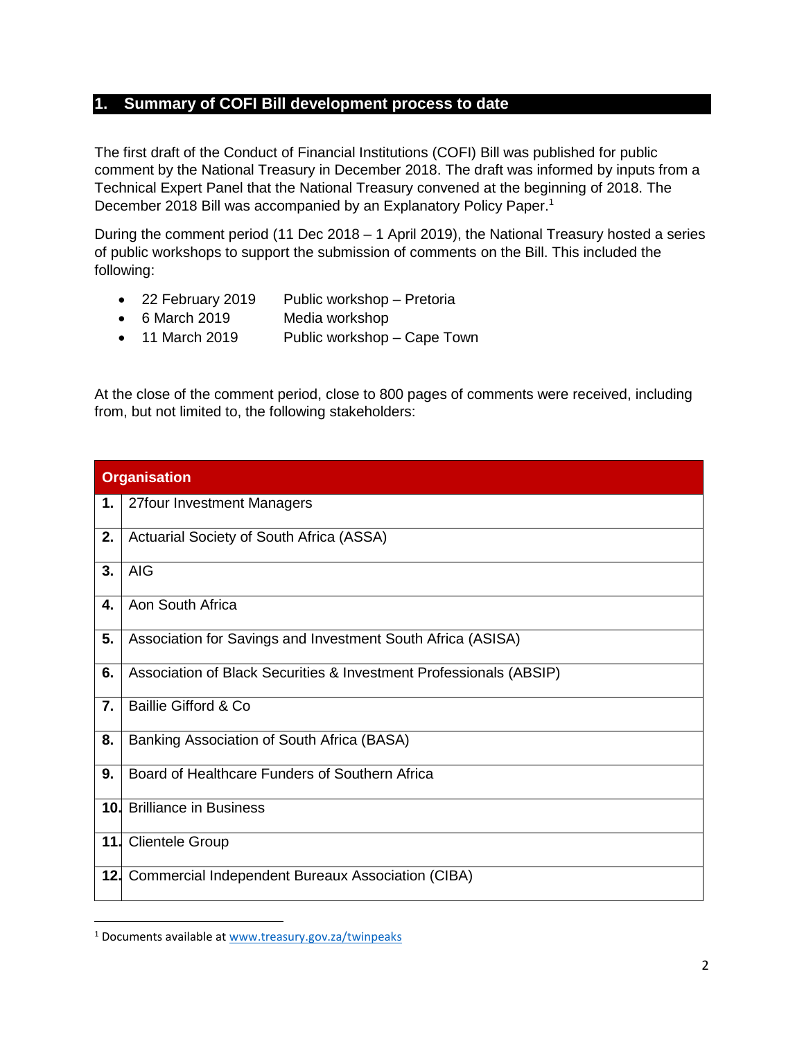# <span id="page-1-0"></span>**1. Summary of COFI Bill development process to date**

The first draft of the Conduct of Financial Institutions (COFI) Bill was published for public comment by the National Treasury in December 2018. The draft was informed by inputs from a Technical Expert Panel that the National Treasury convened at the beginning of 2018. The December 2018 Bill was accompanied by an Explanatory Policy Paper.<sup>1</sup>

During the comment period (11 Dec 2018 – 1 April 2019), the National Treasury hosted a series of public workshops to support the submission of comments on the Bill. This included the following:

- 22 February 2019 Public workshop Pretoria
- 6 March 2019 Media workshop
- 11 March 2019 Public workshop Cape Town

At the close of the comment period, close to 800 pages of comments were received, including from, but not limited to, the following stakeholders:

| <b>Organisation</b> |                                                                    |  |
|---------------------|--------------------------------------------------------------------|--|
| 1.                  | 27four Investment Managers                                         |  |
| 2.                  | Actuarial Society of South Africa (ASSA)                           |  |
| 3.                  | <b>AIG</b>                                                         |  |
| 4.                  | Aon South Africa                                                   |  |
| 5.                  | Association for Savings and Investment South Africa (ASISA)        |  |
| 6.                  | Association of Black Securities & Investment Professionals (ABSIP) |  |
| 7.                  | <b>Baillie Gifford &amp; Co</b>                                    |  |
| 8.                  | Banking Association of South Africa (BASA)                         |  |
| 9.                  | Board of Healthcare Funders of Southern Africa                     |  |
| 10 <sub>1</sub>     | <b>Brilliance in Business</b>                                      |  |
| 11.                 | <b>Clientele Group</b>                                             |  |
| 12.                 | Commercial Independent Bureaux Association (CIBA)                  |  |

<sup>1</sup> Documents available at [www.treasury.gov.za/twinpeaks](http://www.treasury.gov.za/twinpeaks)

 $\overline{\phantom{a}}$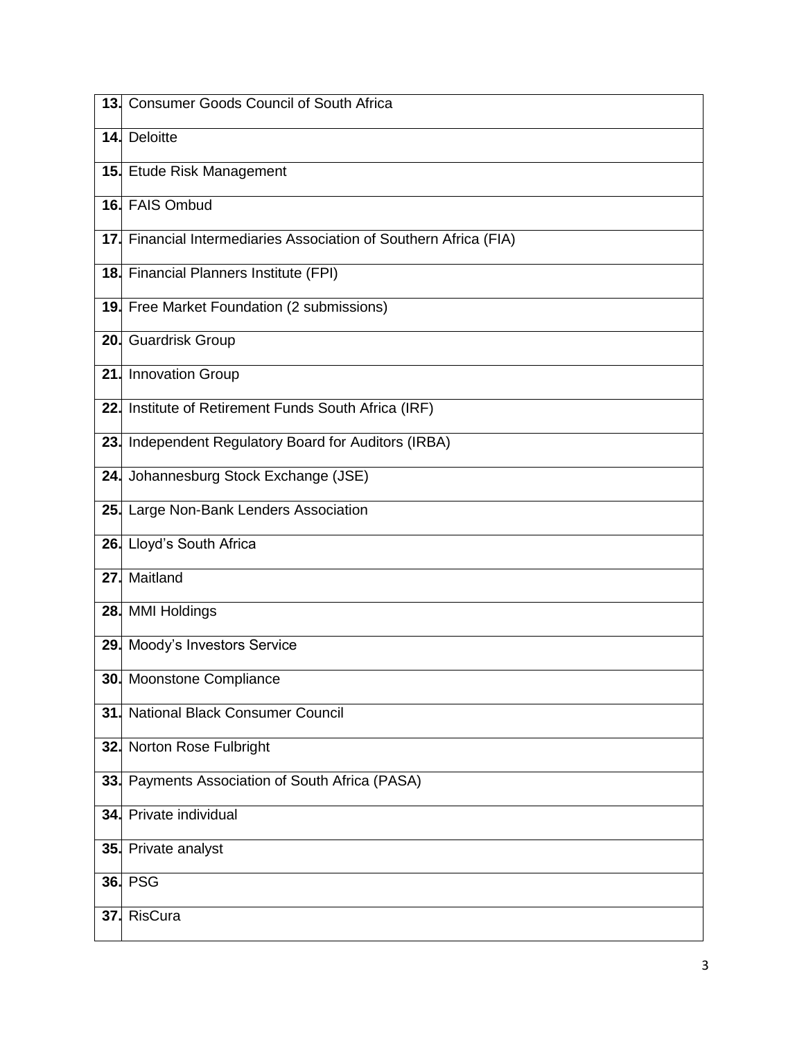|     | 13. Consumer Goods Council of South Africa                        |
|-----|-------------------------------------------------------------------|
|     | 14. Deloitte                                                      |
|     | 15. Etude Risk Management                                         |
|     | 16. FAIS Ombud                                                    |
|     | 17. Financial Intermediaries Association of Southern Africa (FIA) |
|     | 18. Financial Planners Institute (FPI)                            |
|     | 19. Free Market Foundation (2 submissions)                        |
|     | 20. Guardrisk Group                                               |
| 21. | <b>Innovation Group</b>                                           |
|     | 22. Institute of Retirement Funds South Africa (IRF)              |
|     | 23. Independent Regulatory Board for Auditors (IRBA)              |
| 24. | Johannesburg Stock Exchange (JSE)                                 |
|     | 25. Large Non-Bank Lenders Association                            |
|     | 26. Lloyd's South Africa                                          |
| 27. | Maitland                                                          |
|     | 28. MMI Holdings                                                  |
| 29. | Moody's Investors Service                                         |
|     | <b>30.</b> Moonstone Compliance                                   |
| 31. | <b>National Black Consumer Council</b>                            |
|     | 32. Norton Rose Fulbright                                         |
|     | 33. Payments Association of South Africa (PASA)                   |
|     | 34. Private individual                                            |
|     | 35. Private analyst                                               |
|     | <b>36. PSG</b>                                                    |
|     | 37. RisCura                                                       |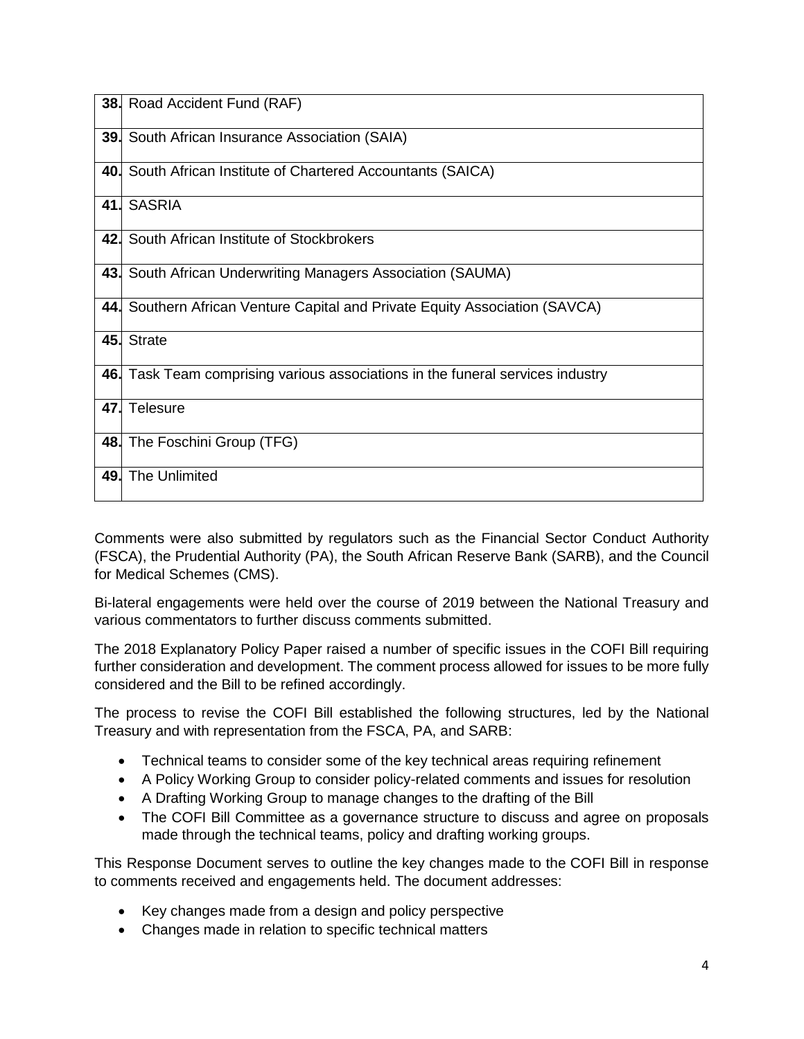|     | <b>38.</b> Road Accident Fund (RAF)                                         |
|-----|-----------------------------------------------------------------------------|
|     | <b>39.</b> South African Insurance Association (SAIA)                       |
|     | 40. South African Institute of Chartered Accountants (SAICA)                |
|     | 41. SASRIA                                                                  |
|     | 42. South African Institute of Stockbrokers                                 |
|     | 43. South African Underwriting Managers Association (SAUMA)                 |
|     | 44. Southern African Venture Capital and Private Equity Association (SAVCA) |
|     | 45. Strate                                                                  |
| 46. | Task Team comprising various associations in the funeral services industry  |
| 47. | Telesure                                                                    |
|     | 48. The Foschini Group (TFG)                                                |
|     | 49. The Unlimited                                                           |

Comments were also submitted by regulators such as the Financial Sector Conduct Authority (FSCA), the Prudential Authority (PA), the South African Reserve Bank (SARB), and the Council for Medical Schemes (CMS).

Bi-lateral engagements were held over the course of 2019 between the National Treasury and various commentators to further discuss comments submitted.

The 2018 Explanatory Policy Paper raised a number of specific issues in the COFI Bill requiring further consideration and development. The comment process allowed for issues to be more fully considered and the Bill to be refined accordingly.

The process to revise the COFI Bill established the following structures, led by the National Treasury and with representation from the FSCA, PA, and SARB:

- Technical teams to consider some of the key technical areas requiring refinement
- A Policy Working Group to consider policy-related comments and issues for resolution
- A Drafting Working Group to manage changes to the drafting of the Bill
- The COFI Bill Committee as a governance structure to discuss and agree on proposals made through the technical teams, policy and drafting working groups.

This Response Document serves to outline the key changes made to the COFI Bill in response to comments received and engagements held. The document addresses:

- Key changes made from a design and policy perspective
- Changes made in relation to specific technical matters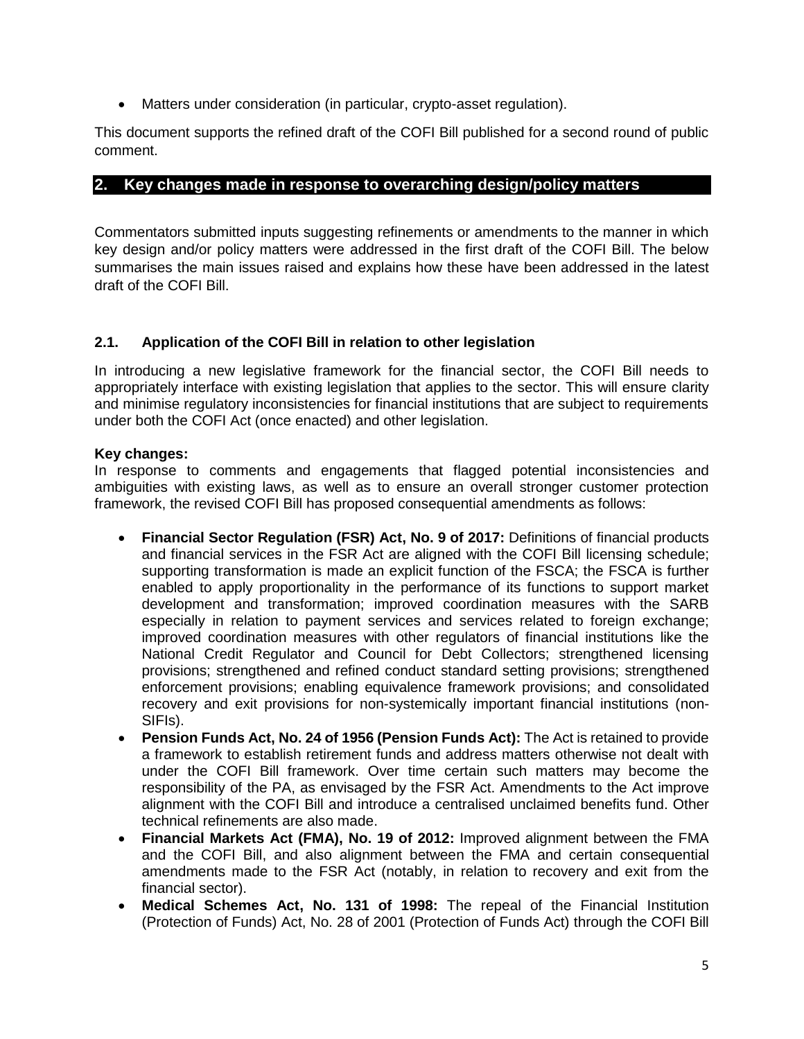• Matters under consideration (in particular, crypto-asset regulation).

This document supports the refined draft of the COFI Bill published for a second round of public comment.

#### <span id="page-4-0"></span>**2. Key changes made in response to overarching design/policy matters**

Commentators submitted inputs suggesting refinements or amendments to the manner in which key design and/or policy matters were addressed in the first draft of the COFI Bill. The below summarises the main issues raised and explains how these have been addressed in the latest draft of the COFI Bill.

#### **2.1. Application of the COFI Bill in relation to other legislation**

In introducing a new legislative framework for the financial sector, the COFI Bill needs to appropriately interface with existing legislation that applies to the sector. This will ensure clarity and minimise regulatory inconsistencies for financial institutions that are subject to requirements under both the COFI Act (once enacted) and other legislation.

#### **Key changes:**

In response to comments and engagements that flagged potential inconsistencies and ambiguities with existing laws, as well as to ensure an overall stronger customer protection framework, the revised COFI Bill has proposed consequential amendments as follows:

- **Financial Sector Regulation (FSR) Act, No. 9 of 2017:** Definitions of financial products and financial services in the FSR Act are aligned with the COFI Bill licensing schedule; supporting transformation is made an explicit function of the FSCA; the FSCA is further enabled to apply proportionality in the performance of its functions to support market development and transformation; improved coordination measures with the SARB especially in relation to payment services and services related to foreign exchange; improved coordination measures with other regulators of financial institutions like the National Credit Regulator and Council for Debt Collectors; strengthened licensing provisions; strengthened and refined conduct standard setting provisions; strengthened enforcement provisions; enabling equivalence framework provisions; and consolidated recovery and exit provisions for non-systemically important financial institutions (non-SIFIs).
- **Pension Funds Act, No. 24 of 1956 (Pension Funds Act):** The Act is retained to provide a framework to establish retirement funds and address matters otherwise not dealt with under the COFI Bill framework. Over time certain such matters may become the responsibility of the PA, as envisaged by the FSR Act. Amendments to the Act improve alignment with the COFI Bill and introduce a centralised unclaimed benefits fund. Other technical refinements are also made.
- **Financial Markets Act (FMA), No. 19 of 2012:** Improved alignment between the FMA and the COFI Bill, and also alignment between the FMA and certain consequential amendments made to the FSR Act (notably, in relation to recovery and exit from the financial sector).
- **Medical Schemes Act, No. 131 of 1998:** The repeal of the Financial Institution (Protection of Funds) Act, No. 28 of 2001 (Protection of Funds Act) through the COFI Bill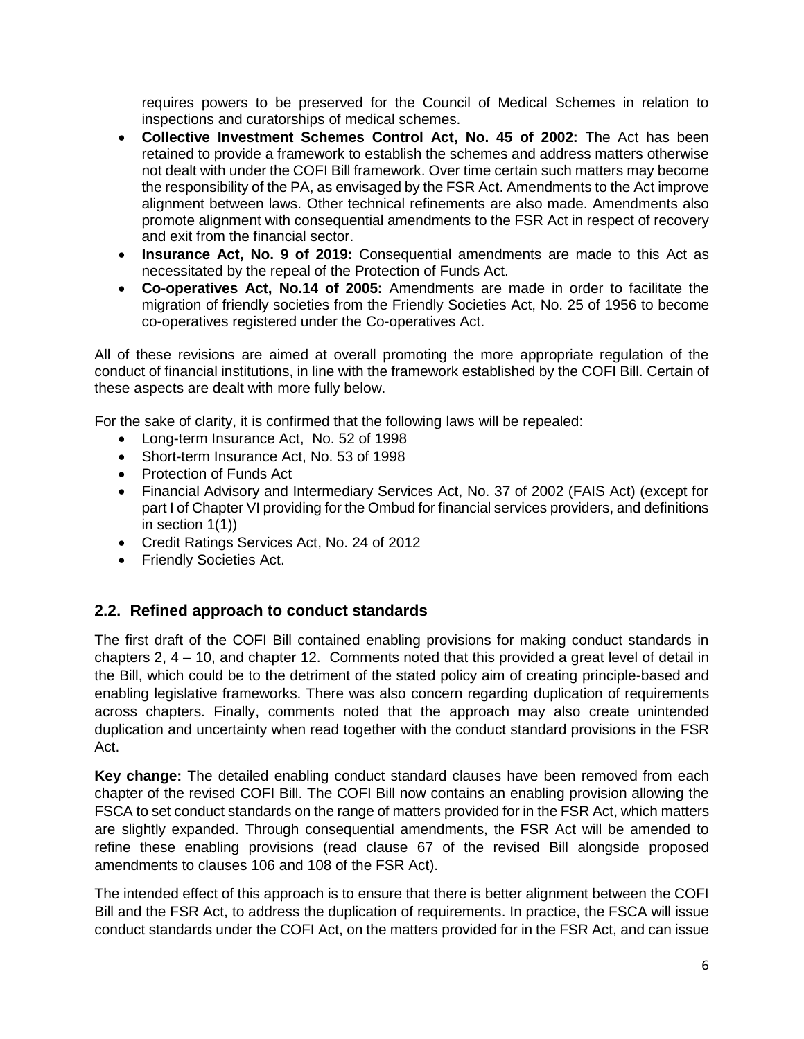requires powers to be preserved for the Council of Medical Schemes in relation to inspections and curatorships of medical schemes.

- **Collective Investment Schemes Control Act, No. 45 of 2002:** The Act has been retained to provide a framework to establish the schemes and address matters otherwise not dealt with under the COFI Bill framework. Over time certain such matters may become the responsibility of the PA, as envisaged by the FSR Act. Amendments to the Act improve alignment between laws. Other technical refinements are also made. Amendments also promote alignment with consequential amendments to the FSR Act in respect of recovery and exit from the financial sector.
- **Insurance Act, No. 9 of 2019:** Consequential amendments are made to this Act as necessitated by the repeal of the Protection of Funds Act.
- **Co-operatives Act, No.14 of 2005:** Amendments are made in order to facilitate the migration of friendly societies from the Friendly Societies Act, No. 25 of 1956 to become co-operatives registered under the Co-operatives Act.

All of these revisions are aimed at overall promoting the more appropriate regulation of the conduct of financial institutions, in line with the framework established by the COFI Bill. Certain of these aspects are dealt with more fully below.

For the sake of clarity, it is confirmed that the following laws will be repealed:

- Long-term Insurance Act, No. 52 of 1998
- Short-term Insurance Act, No. 53 of 1998
- Protection of Funds Act
- Financial Advisory and Intermediary Services Act, No. 37 of 2002 (FAIS Act) (except for part I of Chapter VI providing for the Ombud for financial services providers, and definitions in section 1(1))
- Credit Ratings Services Act, No. 24 of 2012
- Friendly Societies Act.

# **2.2. Refined approach to conduct standards**

The first draft of the COFI Bill contained enabling provisions for making conduct standards in chapters 2, 4 – 10, and chapter 12. Comments noted that this provided a great level of detail in the Bill, which could be to the detriment of the stated policy aim of creating principle-based and enabling legislative frameworks. There was also concern regarding duplication of requirements across chapters. Finally, comments noted that the approach may also create unintended duplication and uncertainty when read together with the conduct standard provisions in the FSR Act.

**Key change:** The detailed enabling conduct standard clauses have been removed from each chapter of the revised COFI Bill. The COFI Bill now contains an enabling provision allowing the FSCA to set conduct standards on the range of matters provided for in the FSR Act, which matters are slightly expanded. Through consequential amendments, the FSR Act will be amended to refine these enabling provisions (read clause 67 of the revised Bill alongside proposed amendments to clauses 106 and 108 of the FSR Act).

The intended effect of this approach is to ensure that there is better alignment between the COFI Bill and the FSR Act, to address the duplication of requirements. In practice, the FSCA will issue conduct standards under the COFI Act, on the matters provided for in the FSR Act, and can issue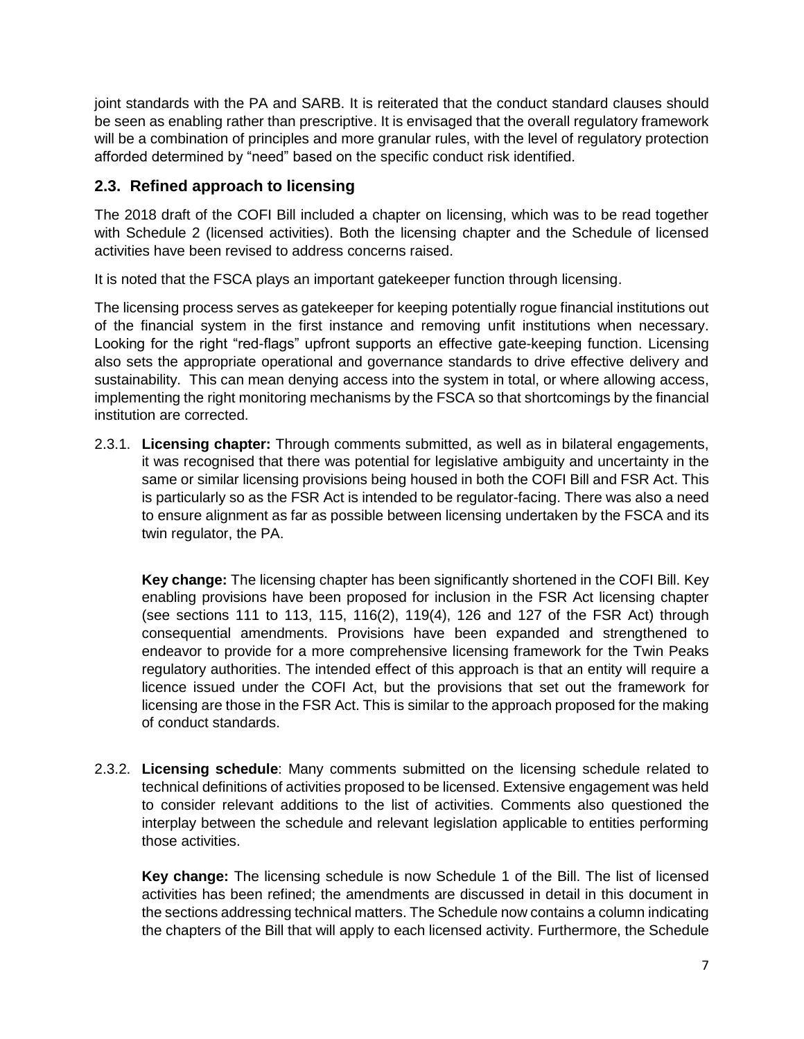joint standards with the PA and SARB. It is reiterated that the conduct standard clauses should be seen as enabling rather than prescriptive. It is envisaged that the overall regulatory framework will be a combination of principles and more granular rules, with the level of regulatory protection afforded determined by "need" based on the specific conduct risk identified.

# **2.3. Refined approach to licensing**

The 2018 draft of the COFI Bill included a chapter on licensing, which was to be read together with Schedule 2 (licensed activities). Both the licensing chapter and the Schedule of licensed activities have been revised to address concerns raised.

It is noted that the FSCA plays an important gatekeeper function through licensing.

The licensing process serves as gatekeeper for keeping potentially rogue financial institutions out of the financial system in the first instance and removing unfit institutions when necessary. Looking for the right "red-flags" upfront supports an effective gate-keeping function. Licensing also sets the appropriate operational and governance standards to drive effective delivery and sustainability. This can mean denying access into the system in total, or where allowing access, implementing the right monitoring mechanisms by the FSCA so that shortcomings by the financial institution are corrected.

2.3.1. **Licensing chapter:** Through comments submitted, as well as in bilateral engagements, it was recognised that there was potential for legislative ambiguity and uncertainty in the same or similar licensing provisions being housed in both the COFI Bill and FSR Act. This is particularly so as the FSR Act is intended to be regulator-facing. There was also a need to ensure alignment as far as possible between licensing undertaken by the FSCA and its twin regulator, the PA.

**Key change:** The licensing chapter has been significantly shortened in the COFI Bill. Key enabling provisions have been proposed for inclusion in the FSR Act licensing chapter (see sections 111 to 113, 115, 116(2), 119(4), 126 and 127 of the FSR Act) through consequential amendments. Provisions have been expanded and strengthened to endeavor to provide for a more comprehensive licensing framework for the Twin Peaks regulatory authorities. The intended effect of this approach is that an entity will require a licence issued under the COFI Act, but the provisions that set out the framework for licensing are those in the FSR Act. This is similar to the approach proposed for the making of conduct standards.

2.3.2. **Licensing schedule**: Many comments submitted on the licensing schedule related to technical definitions of activities proposed to be licensed. Extensive engagement was held to consider relevant additions to the list of activities. Comments also questioned the interplay between the schedule and relevant legislation applicable to entities performing those activities.

**Key change:** The licensing schedule is now Schedule 1 of the Bill. The list of licensed activities has been refined; the amendments are discussed in detail in this document in the sections addressing technical matters. The Schedule now contains a column indicating the chapters of the Bill that will apply to each licensed activity. Furthermore, the Schedule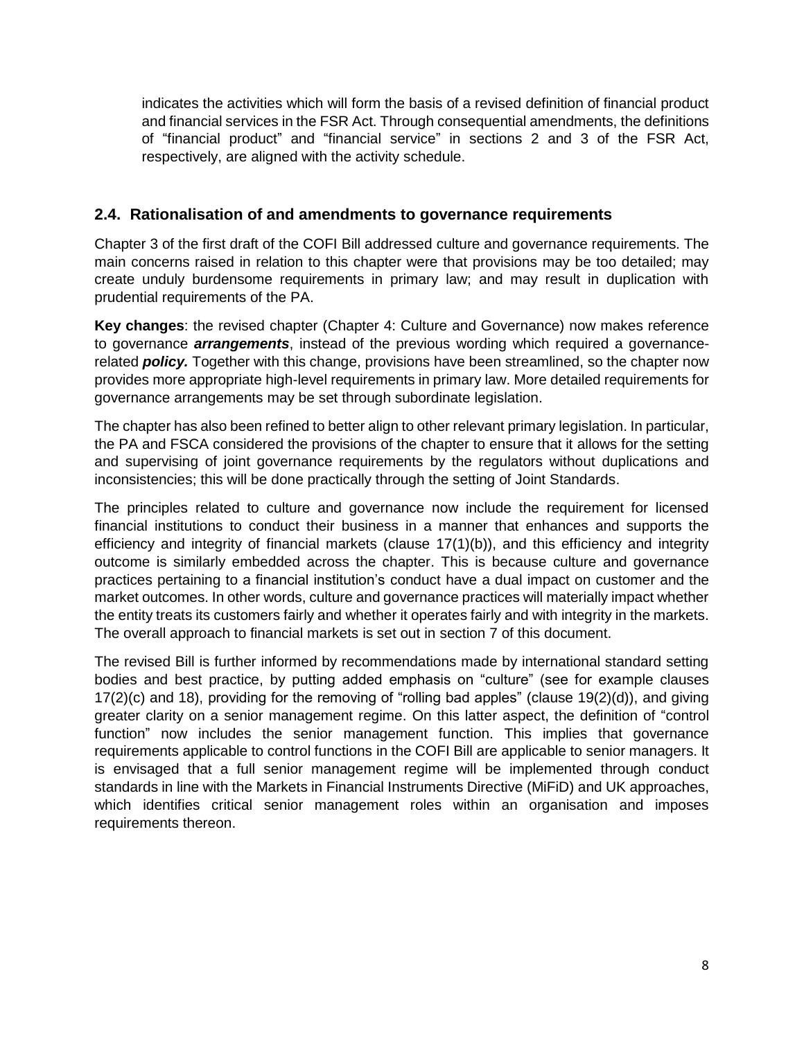indicates the activities which will form the basis of a revised definition of financial product and financial services in the FSR Act. Through consequential amendments, the definitions of "financial product" and "financial service" in sections 2 and 3 of the FSR Act, respectively, are aligned with the activity schedule.

### **2.4. Rationalisation of and amendments to governance requirements**

Chapter 3 of the first draft of the COFI Bill addressed culture and governance requirements. The main concerns raised in relation to this chapter were that provisions may be too detailed; may create unduly burdensome requirements in primary law; and may result in duplication with prudential requirements of the PA.

**Key changes**: the revised chapter (Chapter 4: Culture and Governance) now makes reference to governance *arrangements*, instead of the previous wording which required a governancerelated *policy.* Together with this change, provisions have been streamlined, so the chapter now provides more appropriate high-level requirements in primary law. More detailed requirements for governance arrangements may be set through subordinate legislation.

The chapter has also been refined to better align to other relevant primary legislation. In particular, the PA and FSCA considered the provisions of the chapter to ensure that it allows for the setting and supervising of joint governance requirements by the regulators without duplications and inconsistencies; this will be done practically through the setting of Joint Standards.

The principles related to culture and governance now include the requirement for licensed financial institutions to conduct their business in a manner that enhances and supports the efficiency and integrity of financial markets (clause 17(1)(b)), and this efficiency and integrity outcome is similarly embedded across the chapter. This is because culture and governance practices pertaining to a financial institution's conduct have a dual impact on customer and the market outcomes. In other words, culture and governance practices will materially impact whether the entity treats its customers fairly and whether it operates fairly and with integrity in the markets. The overall approach to financial markets is set out in section 7 of this document.

The revised Bill is further informed by recommendations made by international standard setting bodies and best practice, by putting added emphasis on "culture" (see for example clauses  $17(2)(c)$  and 18), providing for the removing of "rolling bad apples" (clause 19 $(2)(d)$ ), and giving greater clarity on a senior management regime. On this latter aspect, the definition of "control function" now includes the senior management function. This implies that governance requirements applicable to control functions in the COFI Bill are applicable to senior managers. It is envisaged that a full senior management regime will be implemented through conduct standards in line with the Markets in Financial Instruments Directive (MiFiD) and UK approaches, which identifies critical senior management roles within an organisation and imposes requirements thereon.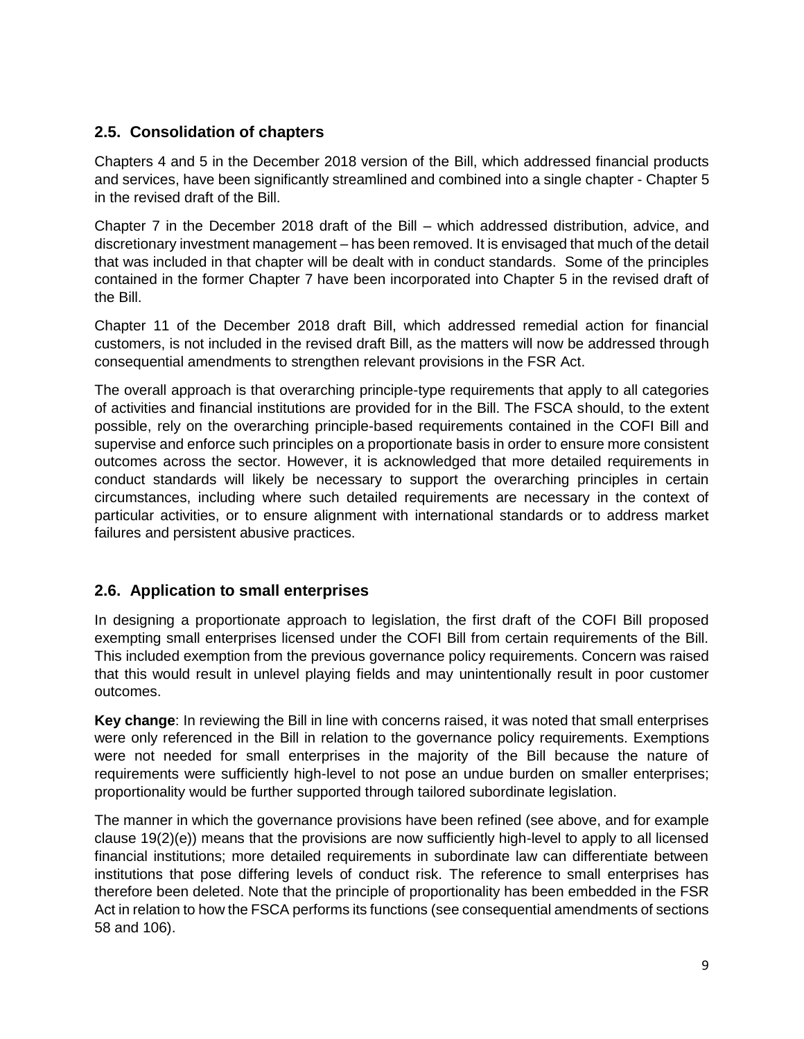# **2.5. Consolidation of chapters**

Chapters 4 and 5 in the December 2018 version of the Bill, which addressed financial products and services, have been significantly streamlined and combined into a single chapter - Chapter 5 in the revised draft of the Bill.

Chapter 7 in the December 2018 draft of the Bill – which addressed distribution, advice, and discretionary investment management – has been removed. It is envisaged that much of the detail that was included in that chapter will be dealt with in conduct standards. Some of the principles contained in the former Chapter 7 have been incorporated into Chapter 5 in the revised draft of the Bill.

Chapter 11 of the December 2018 draft Bill, which addressed remedial action for financial customers, is not included in the revised draft Bill, as the matters will now be addressed through consequential amendments to strengthen relevant provisions in the FSR Act.

The overall approach is that overarching principle-type requirements that apply to all categories of activities and financial institutions are provided for in the Bill. The FSCA should, to the extent possible, rely on the overarching principle-based requirements contained in the COFI Bill and supervise and enforce such principles on a proportionate basis in order to ensure more consistent outcomes across the sector. However, it is acknowledged that more detailed requirements in conduct standards will likely be necessary to support the overarching principles in certain circumstances, including where such detailed requirements are necessary in the context of particular activities, or to ensure alignment with international standards or to address market failures and persistent abusive practices.

# **2.6. Application to small enterprises**

In designing a proportionate approach to legislation, the first draft of the COFI Bill proposed exempting small enterprises licensed under the COFI Bill from certain requirements of the Bill. This included exemption from the previous governance policy requirements. Concern was raised that this would result in unlevel playing fields and may unintentionally result in poor customer outcomes.

**Key change**: In reviewing the Bill in line with concerns raised, it was noted that small enterprises were only referenced in the Bill in relation to the governance policy requirements. Exemptions were not needed for small enterprises in the majority of the Bill because the nature of requirements were sufficiently high-level to not pose an undue burden on smaller enterprises; proportionality would be further supported through tailored subordinate legislation.

The manner in which the governance provisions have been refined (see above, and for example clause 19(2)(e)) means that the provisions are now sufficiently high-level to apply to all licensed financial institutions; more detailed requirements in subordinate law can differentiate between institutions that pose differing levels of conduct risk. The reference to small enterprises has therefore been deleted. Note that the principle of proportionality has been embedded in the FSR Act in relation to how the FSCA performs its functions (see consequential amendments of sections 58 and 106).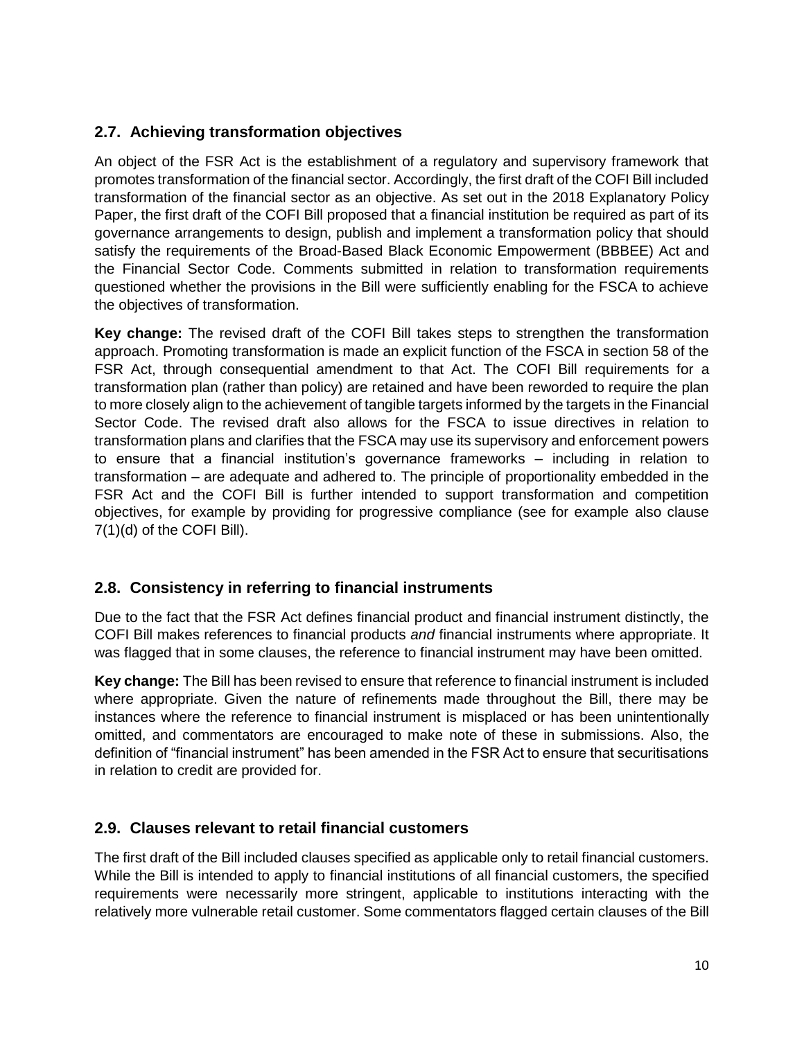# **2.7. Achieving transformation objectives**

An object of the FSR Act is the establishment of a regulatory and supervisory framework that promotes transformation of the financial sector. Accordingly, the first draft of the COFI Bill included transformation of the financial sector as an objective. As set out in the 2018 Explanatory Policy Paper, the first draft of the COFI Bill proposed that a financial institution be required as part of its governance arrangements to design, publish and implement a transformation policy that should satisfy the requirements of the Broad-Based Black Economic Empowerment (BBBEE) Act and the Financial Sector Code. Comments submitted in relation to transformation requirements questioned whether the provisions in the Bill were sufficiently enabling for the FSCA to achieve the objectives of transformation.

**Key change:** The revised draft of the COFI Bill takes steps to strengthen the transformation approach. Promoting transformation is made an explicit function of the FSCA in section 58 of the FSR Act, through consequential amendment to that Act. The COFI Bill requirements for a transformation plan (rather than policy) are retained and have been reworded to require the plan to more closely align to the achievement of tangible targets informed by the targets in the Financial Sector Code. The revised draft also allows for the FSCA to issue directives in relation to transformation plans and clarifies that the FSCA may use its supervisory and enforcement powers to ensure that a financial institution's governance frameworks – including in relation to transformation – are adequate and adhered to. The principle of proportionality embedded in the FSR Act and the COFI Bill is further intended to support transformation and competition objectives, for example by providing for progressive compliance (see for example also clause 7(1)(d) of the COFI Bill).

# **2.8. Consistency in referring to financial instruments**

Due to the fact that the FSR Act defines financial product and financial instrument distinctly, the COFI Bill makes references to financial products *and* financial instruments where appropriate. It was flagged that in some clauses, the reference to financial instrument may have been omitted.

**Key change:** The Bill has been revised to ensure that reference to financial instrument is included where appropriate. Given the nature of refinements made throughout the Bill, there may be instances where the reference to financial instrument is misplaced or has been unintentionally omitted, and commentators are encouraged to make note of these in submissions. Also, the definition of "financial instrument" has been amended in the FSR Act to ensure that securitisations in relation to credit are provided for.

# **2.9. Clauses relevant to retail financial customers**

The first draft of the Bill included clauses specified as applicable only to retail financial customers. While the Bill is intended to apply to financial institutions of all financial customers, the specified requirements were necessarily more stringent, applicable to institutions interacting with the relatively more vulnerable retail customer. Some commentators flagged certain clauses of the Bill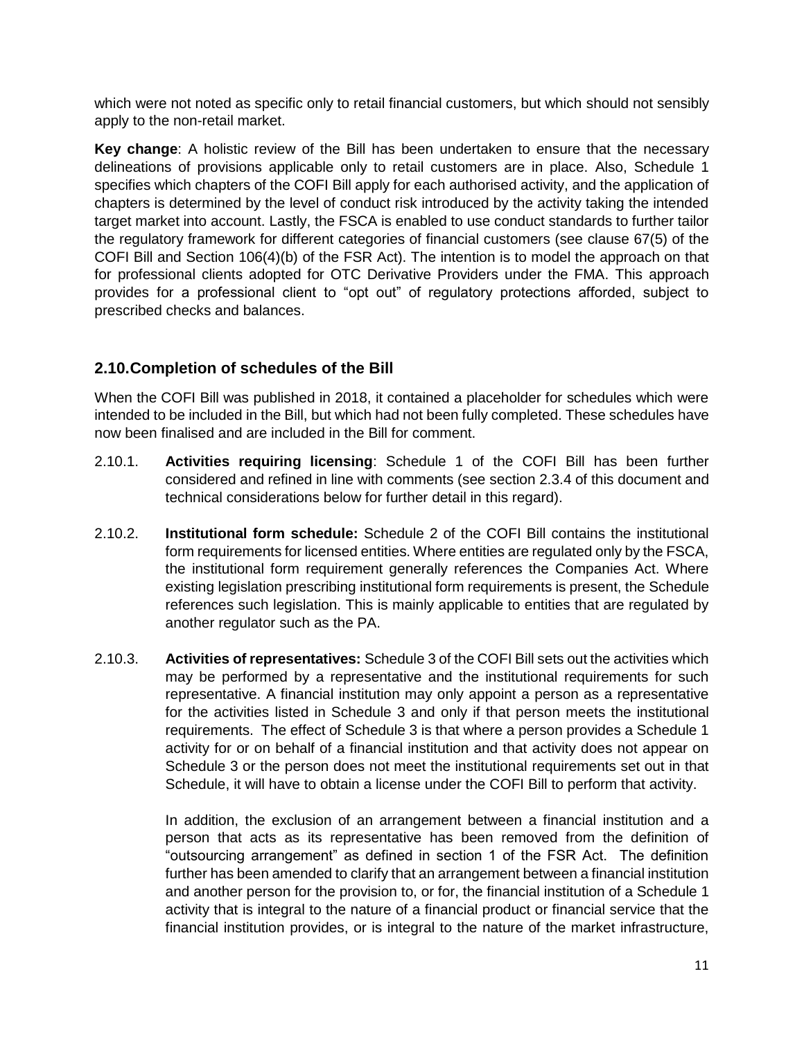which were not noted as specific only to retail financial customers, but which should not sensibly apply to the non-retail market.

**Key change**: A holistic review of the Bill has been undertaken to ensure that the necessary delineations of provisions applicable only to retail customers are in place. Also, Schedule 1 specifies which chapters of the COFI Bill apply for each authorised activity, and the application of chapters is determined by the level of conduct risk introduced by the activity taking the intended target market into account. Lastly, the FSCA is enabled to use conduct standards to further tailor the regulatory framework for different categories of financial customers (see clause 67(5) of the COFI Bill and Section 106(4)(b) of the FSR Act). The intention is to model the approach on that for professional clients adopted for OTC Derivative Providers under the FMA. This approach provides for a professional client to "opt out" of regulatory protections afforded, subject to prescribed checks and balances.

# **2.10.Completion of schedules of the Bill**

When the COFI Bill was published in 2018, it contained a placeholder for schedules which were intended to be included in the Bill, but which had not been fully completed. These schedules have now been finalised and are included in the Bill for comment.

- 2.10.1. **Activities requiring licensing**: Schedule 1 of the COFI Bill has been further considered and refined in line with comments (see section 2.3.4 of this document and technical considerations below for further detail in this regard).
- 2.10.2. **Institutional form schedule:** Schedule 2 of the COFI Bill contains the institutional form requirements for licensed entities. Where entities are regulated only by the FSCA, the institutional form requirement generally references the Companies Act. Where existing legislation prescribing institutional form requirements is present, the Schedule references such legislation. This is mainly applicable to entities that are regulated by another regulator such as the PA.
- 2.10.3. **Activities of representatives:** Schedule 3 of the COFI Bill sets out the activities which may be performed by a representative and the institutional requirements for such representative. A financial institution may only appoint a person as a representative for the activities listed in Schedule 3 and only if that person meets the institutional requirements. The effect of Schedule 3 is that where a person provides a Schedule 1 activity for or on behalf of a financial institution and that activity does not appear on Schedule 3 or the person does not meet the institutional requirements set out in that Schedule, it will have to obtain a license under the COFI Bill to perform that activity.

In addition, the exclusion of an arrangement between a financial institution and a person that acts as its representative has been removed from the definition of "outsourcing arrangement" as defined in section 1 of the FSR Act. The definition further has been amended to clarify that an arrangement between a financial institution and another person for the provision to, or for, the financial institution of a Schedule 1 activity that is integral to the nature of a financial product or financial service that the financial institution provides, or is integral to the nature of the market infrastructure,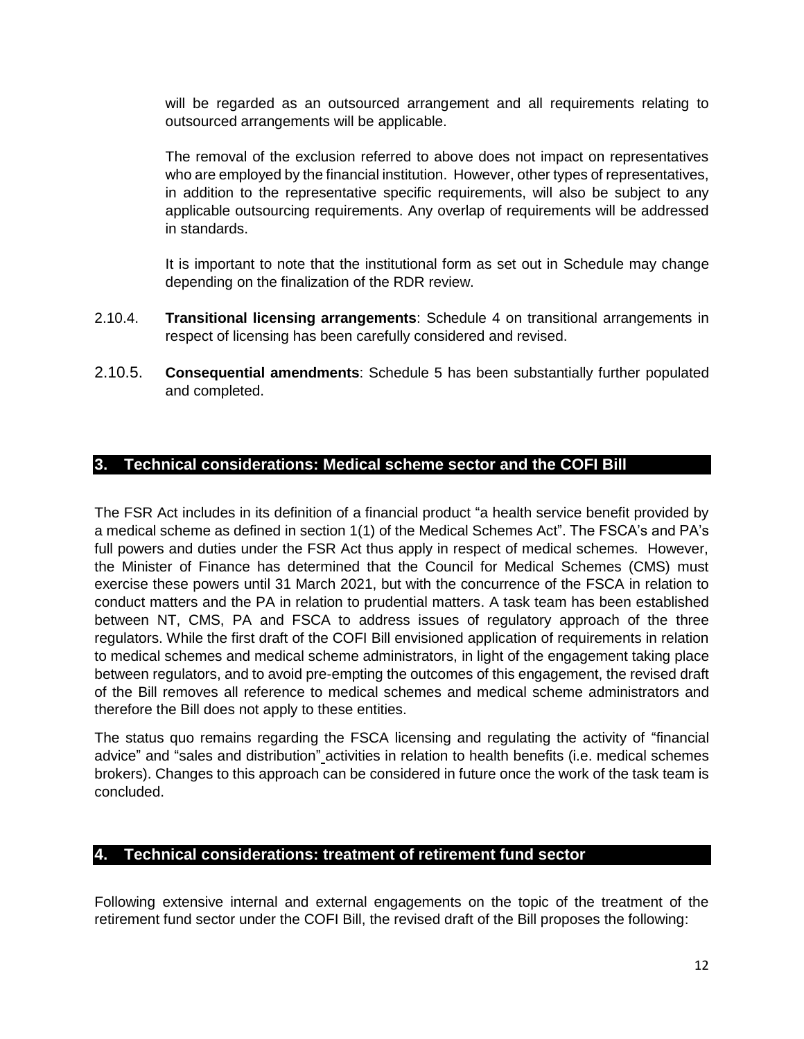will be regarded as an outsourced arrangement and all requirements relating to outsourced arrangements will be applicable.

The removal of the exclusion referred to above does not impact on representatives who are employed by the financial institution. However, other types of representatives, in addition to the representative specific requirements, will also be subject to any applicable outsourcing requirements. Any overlap of requirements will be addressed in standards.

<span id="page-11-0"></span>It is important to note that the institutional form as set out in Schedule may change depending on the finalization of the RDR review.

- 2.10.4. **Transitional licensing arrangements**: Schedule 4 on transitional arrangements in respect of licensing has been carefully considered and revised.
- 2.10.5. **Consequential amendments**: Schedule 5 has been substantially further populated and completed.

#### **3. Technical considerations: Medical scheme sector and the COFI Bill**

The FSR Act includes in its definition of a financial product "a health service benefit provided by a medical scheme as defined in section 1(1) of the Medical Schemes Act". The FSCA's and PA's full powers and duties under the FSR Act thus apply in respect of medical schemes. However, the Minister of Finance has determined that the Council for Medical Schemes (CMS) must exercise these powers until 31 March 2021, but with the concurrence of the FSCA in relation to conduct matters and the PA in relation to prudential matters. A task team has been established between NT, CMS, PA and FSCA to address issues of regulatory approach of the three regulators. While the first draft of the COFI Bill envisioned application of requirements in relation to medical schemes and medical scheme administrators, in light of the engagement taking place between regulators, and to avoid pre-empting the outcomes of this engagement, the revised draft of the Bill removes all reference to medical schemes and medical scheme administrators and therefore the Bill does not apply to these entities.

The status quo remains regarding the FSCA licensing and regulating the activity of "financial advice" and "sales and distribution" activities in relation to health benefits (i.e. medical schemes brokers). Changes to this approach can be considered in future once the work of the task team is concluded.

#### <span id="page-11-1"></span>**4. Technical considerations: treatment of retirement fund sector**

Following extensive internal and external engagements on the topic of the treatment of the retirement fund sector under the COFI Bill, the revised draft of the Bill proposes the following: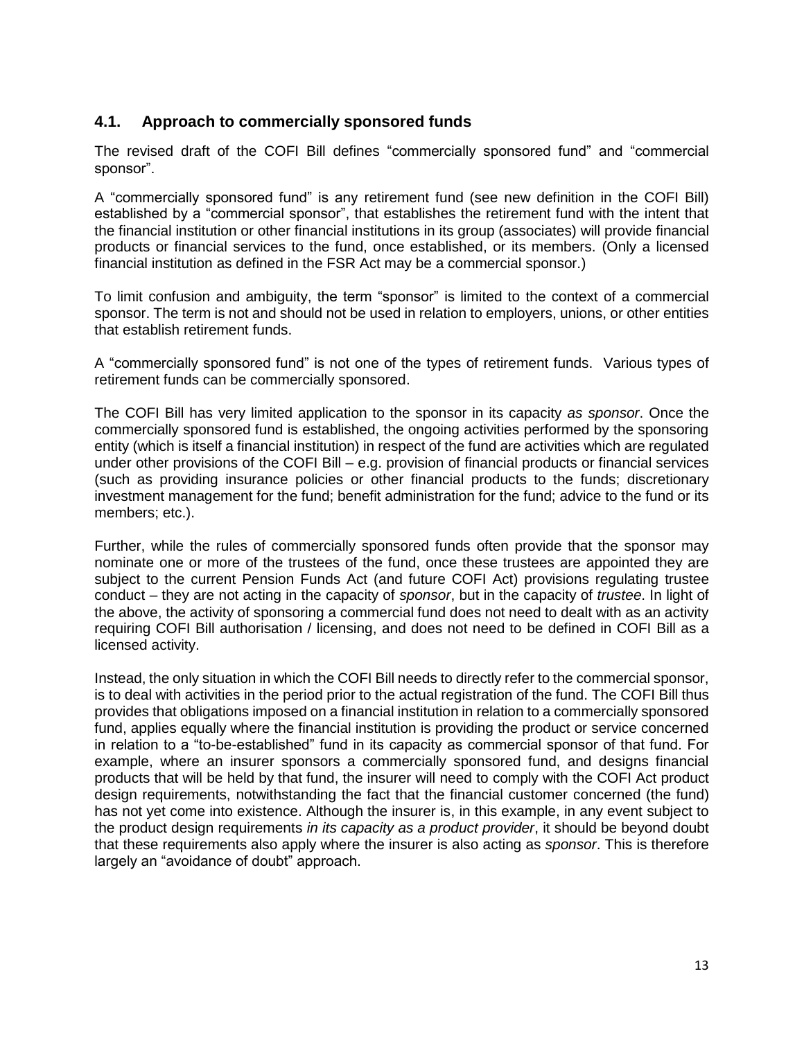# **4.1. Approach to commercially sponsored funds**

The revised draft of the COFI Bill defines "commercially sponsored fund" and "commercial sponsor".

A "commercially sponsored fund" is any retirement fund (see new definition in the COFI Bill) established by a "commercial sponsor", that establishes the retirement fund with the intent that the financial institution or other financial institutions in its group (associates) will provide financial products or financial services to the fund, once established, or its members. (Only a licensed financial institution as defined in the FSR Act may be a commercial sponsor.)

To limit confusion and ambiguity, the term "sponsor" is limited to the context of a commercial sponsor. The term is not and should not be used in relation to employers, unions, or other entities that establish retirement funds.

A "commercially sponsored fund" is not one of the types of retirement funds. Various types of retirement funds can be commercially sponsored.

The COFI Bill has very limited application to the sponsor in its capacity *as sponsor*. Once the commercially sponsored fund is established, the ongoing activities performed by the sponsoring entity (which is itself a financial institution) in respect of the fund are activities which are regulated under other provisions of the COFI Bill – e.g. provision of financial products or financial services (such as providing insurance policies or other financial products to the funds; discretionary investment management for the fund; benefit administration for the fund; advice to the fund or its members; etc.).

Further, while the rules of commercially sponsored funds often provide that the sponsor may nominate one or more of the trustees of the fund, once these trustees are appointed they are subject to the current Pension Funds Act (and future COFI Act) provisions regulating trustee conduct – they are not acting in the capacity of *sponsor*, but in the capacity of *trustee*. In light of the above, the activity of sponsoring a commercial fund does not need to dealt with as an activity requiring COFI Bill authorisation / licensing, and does not need to be defined in COFI Bill as a licensed activity.

Instead, the only situation in which the COFI Bill needs to directly refer to the commercial sponsor, is to deal with activities in the period prior to the actual registration of the fund. The COFI Bill thus provides that obligations imposed on a financial institution in relation to a commercially sponsored fund, applies equally where the financial institution is providing the product or service concerned in relation to a "to-be-established" fund in its capacity as commercial sponsor of that fund. For example, where an insurer sponsors a commercially sponsored fund, and designs financial products that will be held by that fund, the insurer will need to comply with the COFI Act product design requirements, notwithstanding the fact that the financial customer concerned (the fund) has not yet come into existence. Although the insurer is, in this example, in any event subject to the product design requirements *in its capacity as a product provider*, it should be beyond doubt that these requirements also apply where the insurer is also acting as *sponsor*. This is therefore largely an "avoidance of doubt" approach.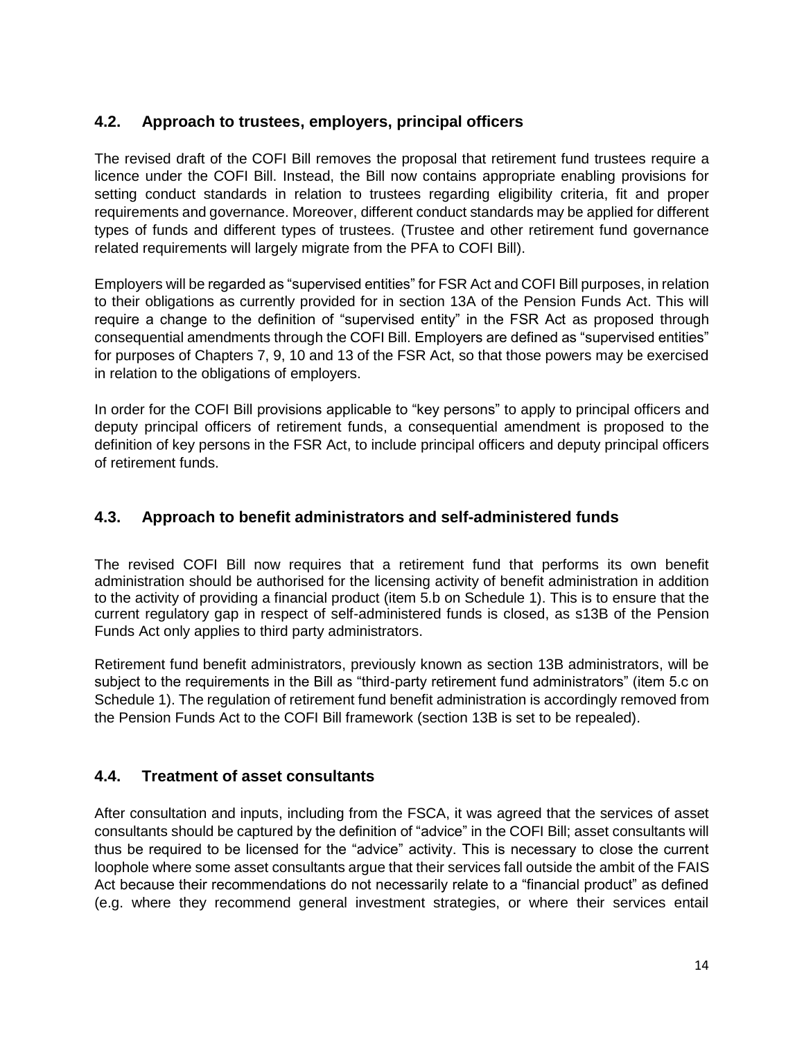# **4.2. Approach to trustees, employers, principal officers**

The revised draft of the COFI Bill removes the proposal that retirement fund trustees require a licence under the COFI Bill. Instead, the Bill now contains appropriate enabling provisions for setting conduct standards in relation to trustees regarding eligibility criteria, fit and proper requirements and governance. Moreover, different conduct standards may be applied for different types of funds and different types of trustees. (Trustee and other retirement fund governance related requirements will largely migrate from the PFA to COFI Bill).

Employers will be regarded as "supervised entities" for FSR Act and COFI Bill purposes, in relation to their obligations as currently provided for in section 13A of the Pension Funds Act. This will require a change to the definition of "supervised entity" in the FSR Act as proposed through consequential amendments through the COFI Bill. Employers are defined as "supervised entities" for purposes of Chapters 7, 9, 10 and 13 of the FSR Act, so that those powers may be exercised in relation to the obligations of employers.

In order for the COFI Bill provisions applicable to "key persons" to apply to principal officers and deputy principal officers of retirement funds, a consequential amendment is proposed to the definition of key persons in the FSR Act, to include principal officers and deputy principal officers of retirement funds.

# **4.3. Approach to benefit administrators and self-administered funds**

The revised COFI Bill now requires that a retirement fund that performs its own benefit administration should be authorised for the licensing activity of benefit administration in addition to the activity of providing a financial product (item 5.b on Schedule 1). This is to ensure that the current regulatory gap in respect of self-administered funds is closed, as s13B of the Pension Funds Act only applies to third party administrators.

Retirement fund benefit administrators, previously known as section 13B administrators, will be subject to the requirements in the Bill as "third-party retirement fund administrators" (item 5.c on Schedule 1). The regulation of retirement fund benefit administration is accordingly removed from the Pension Funds Act to the COFI Bill framework (section 13B is set to be repealed).

# **4.4. Treatment of asset consultants**

After consultation and inputs, including from the FSCA, it was agreed that the services of asset consultants should be captured by the definition of "advice" in the COFI Bill; asset consultants will thus be required to be licensed for the "advice" activity. This is necessary to close the current loophole where some asset consultants argue that their services fall outside the ambit of the FAIS Act because their recommendations do not necessarily relate to a "financial product" as defined (e.g. where they recommend general investment strategies, or where their services entail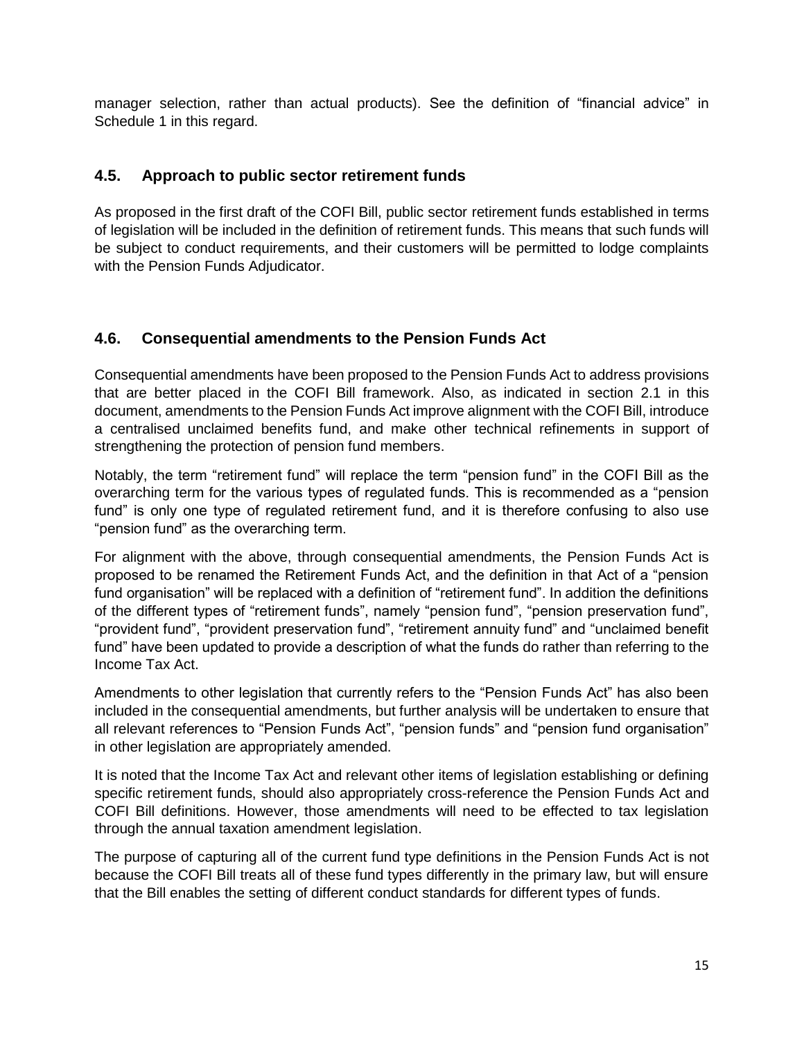manager selection, rather than actual products). See the definition of "financial advice" in Schedule 1 in this regard.

# **4.5. Approach to public sector retirement funds**

As proposed in the first draft of the COFI Bill, public sector retirement funds established in terms of legislation will be included in the definition of retirement funds. This means that such funds will be subject to conduct requirements, and their customers will be permitted to lodge complaints with the Pension Funds Adjudicator.

# **4.6. Consequential amendments to the Pension Funds Act**

Consequential amendments have been proposed to the Pension Funds Act to address provisions that are better placed in the COFI Bill framework. Also, as indicated in section 2.1 in this document, amendments to the Pension Funds Act improve alignment with the COFI Bill, introduce a centralised unclaimed benefits fund, and make other technical refinements in support of strengthening the protection of pension fund members.

Notably, the term "retirement fund" will replace the term "pension fund" in the COFI Bill as the overarching term for the various types of regulated funds. This is recommended as a "pension fund" is only one type of regulated retirement fund, and it is therefore confusing to also use "pension fund" as the overarching term.

For alignment with the above, through consequential amendments, the Pension Funds Act is proposed to be renamed the Retirement Funds Act, and the definition in that Act of a "pension fund organisation" will be replaced with a definition of "retirement fund". In addition the definitions of the different types of "retirement funds", namely "pension fund", "pension preservation fund", "provident fund", "provident preservation fund", "retirement annuity fund" and "unclaimed benefit fund" have been updated to provide a description of what the funds do rather than referring to the Income Tax Act.

Amendments to other legislation that currently refers to the "Pension Funds Act" has also been included in the consequential amendments, but further analysis will be undertaken to ensure that all relevant references to "Pension Funds Act", "pension funds" and "pension fund organisation" in other legislation are appropriately amended.

It is noted that the Income Tax Act and relevant other items of legislation establishing or defining specific retirement funds, should also appropriately cross-reference the Pension Funds Act and COFI Bill definitions. However, those amendments will need to be effected to tax legislation through the annual taxation amendment legislation.

The purpose of capturing all of the current fund type definitions in the Pension Funds Act is not because the COFI Bill treats all of these fund types differently in the primary law, but will ensure that the Bill enables the setting of different conduct standards for different types of funds.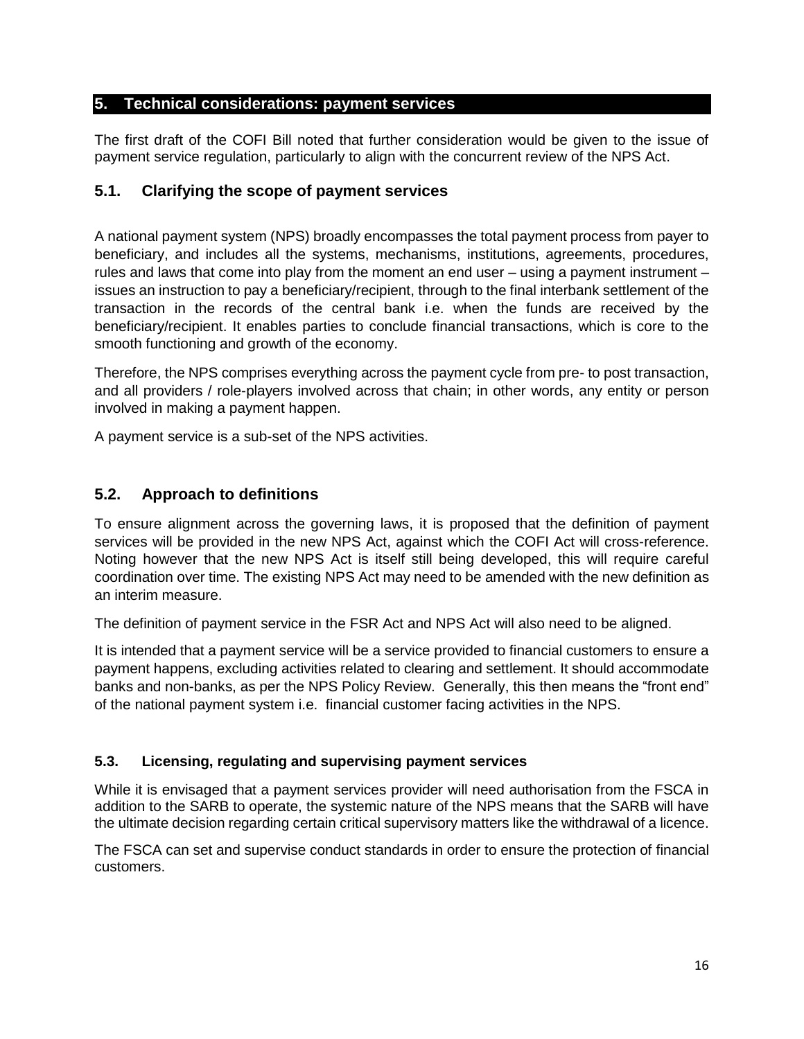#### <span id="page-15-0"></span>**5. Technical considerations: payment services**

The first draft of the COFI Bill noted that further consideration would be given to the issue of payment service regulation, particularly to align with the concurrent review of the NPS Act.

# **5.1. Clarifying the scope of payment services**

A national payment system (NPS) broadly encompasses the total payment process from payer to beneficiary, and includes all the systems, mechanisms, institutions, agreements, procedures, rules and laws that come into play from the moment an end user – using a payment instrument – issues an instruction to pay a beneficiary/recipient, through to the final interbank settlement of the transaction in the records of the central bank i.e. when the funds are received by the beneficiary/recipient. It enables parties to conclude financial transactions, which is core to the smooth functioning and growth of the economy.

Therefore, the NPS comprises everything across the payment cycle from pre- to post transaction, and all providers / role-players involved across that chain; in other words, any entity or person involved in making a payment happen.

A payment service is a sub-set of the NPS activities.

# **5.2. Approach to definitions**

To ensure alignment across the governing laws, it is proposed that the definition of payment services will be provided in the new NPS Act, against which the COFI Act will cross-reference. Noting however that the new NPS Act is itself still being developed, this will require careful coordination over time. The existing NPS Act may need to be amended with the new definition as an interim measure.

The definition of payment service in the FSR Act and NPS Act will also need to be aligned.

It is intended that a payment service will be a service provided to financial customers to ensure a payment happens, excluding activities related to clearing and settlement. It should accommodate banks and non-banks, as per the NPS Policy Review. Generally, this then means the "front end" of the national payment system i.e. financial customer facing activities in the NPS.

#### **5.3. Licensing, regulating and supervising payment services**

While it is envisaged that a payment services provider will need authorisation from the FSCA in addition to the SARB to operate, the systemic nature of the NPS means that the SARB will have the ultimate decision regarding certain critical supervisory matters like the withdrawal of a licence.

The FSCA can set and supervise conduct standards in order to ensure the protection of financial customers.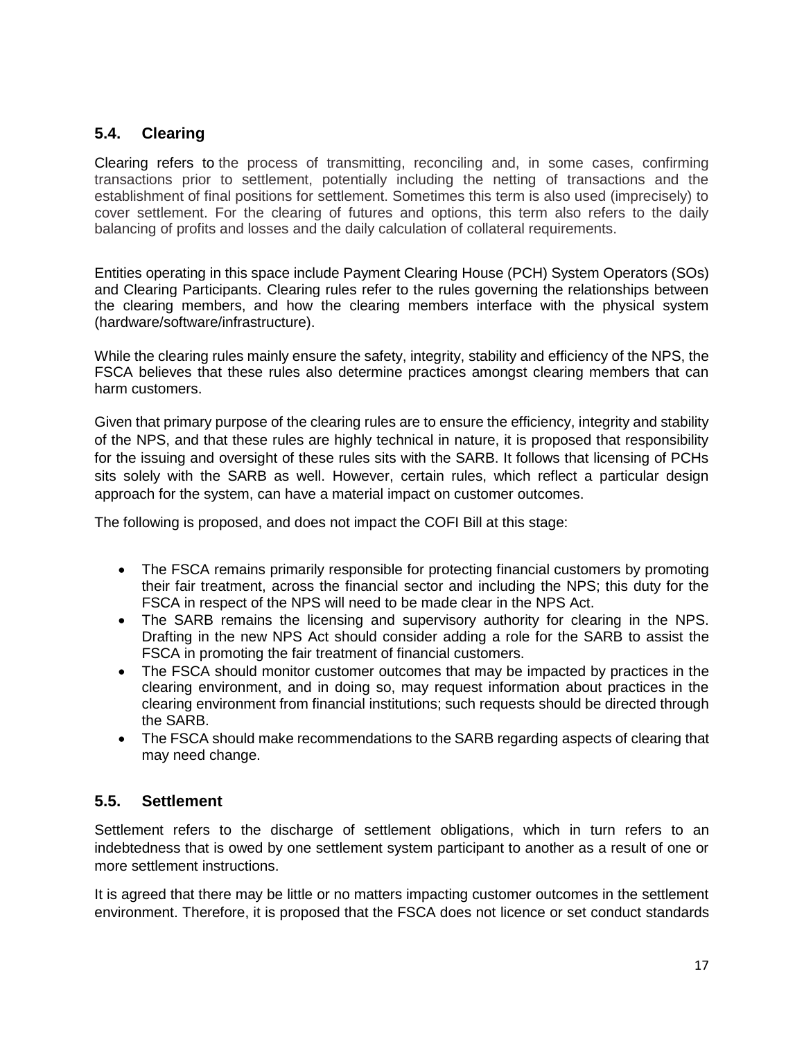# **5.4. Clearing**

Clearing refers to the process of transmitting, reconciling and, in some cases, confirming transactions prior to settlement, potentially including the netting of transactions and the establishment of final positions for settlement. Sometimes this term is also used (imprecisely) to cover settlement. For the clearing of futures and options, this term also refers to the daily balancing of profits and losses and the daily calculation of collateral requirements.

Entities operating in this space include Payment Clearing House (PCH) System Operators (SOs) and Clearing Participants. Clearing rules refer to the rules governing the relationships between the clearing members, and how the clearing members interface with the physical system (hardware/software/infrastructure).

While the clearing rules mainly ensure the safety, integrity, stability and efficiency of the NPS, the FSCA believes that these rules also determine practices amongst clearing members that can harm customers.

Given that primary purpose of the clearing rules are to ensure the efficiency, integrity and stability of the NPS, and that these rules are highly technical in nature, it is proposed that responsibility for the issuing and oversight of these rules sits with the SARB. It follows that licensing of PCHs sits solely with the SARB as well. However, certain rules, which reflect a particular design approach for the system, can have a material impact on customer outcomes.

The following is proposed, and does not impact the COFI Bill at this stage:

- The FSCA remains primarily responsible for protecting financial customers by promoting their fair treatment, across the financial sector and including the NPS; this duty for the FSCA in respect of the NPS will need to be made clear in the NPS Act.
- The SARB remains the licensing and supervisory authority for clearing in the NPS. Drafting in the new NPS Act should consider adding a role for the SARB to assist the FSCA in promoting the fair treatment of financial customers.
- The FSCA should monitor customer outcomes that may be impacted by practices in the clearing environment, and in doing so, may request information about practices in the clearing environment from financial institutions; such requests should be directed through the SARB.
- The FSCA should make recommendations to the SARB regarding aspects of clearing that may need change.

# **5.5. Settlement**

Settlement refers to the discharge of settlement obligations, which in turn refers to an indebtedness that is owed by one settlement system participant to another as a result of one or more settlement instructions.

It is agreed that there may be little or no matters impacting customer outcomes in the settlement environment. Therefore, it is proposed that the FSCA does not licence or set conduct standards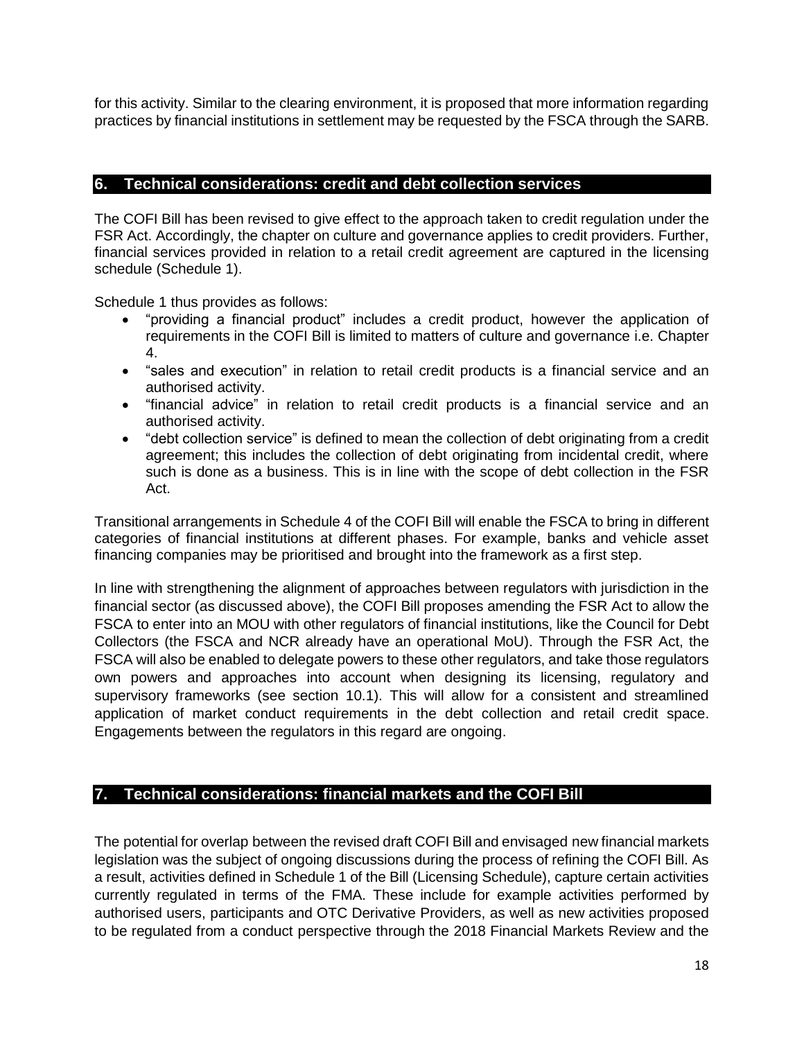for this activity. Similar to the clearing environment, it is proposed that more information regarding practices by financial institutions in settlement may be requested by the FSCA through the SARB.

#### <span id="page-17-0"></span>**6. Technical considerations: credit and debt collection services**

The COFI Bill has been revised to give effect to the approach taken to credit regulation under the FSR Act. Accordingly, the chapter on culture and governance applies to credit providers. Further, financial services provided in relation to a retail credit agreement are captured in the licensing schedule (Schedule 1).

Schedule 1 thus provides as follows:

- "providing a financial product" includes a credit product, however the application of requirements in the COFI Bill is limited to matters of culture and governance i.e. Chapter 4.
- "sales and execution" in relation to retail credit products is a financial service and an authorised activity.
- "financial advice" in relation to retail credit products is a financial service and an authorised activity.
- "debt collection service" is defined to mean the collection of debt originating from a credit agreement; this includes the collection of debt originating from incidental credit, where such is done as a business. This is in line with the scope of debt collection in the FSR Act.

Transitional arrangements in Schedule 4 of the COFI Bill will enable the FSCA to bring in different categories of financial institutions at different phases. For example, banks and vehicle asset financing companies may be prioritised and brought into the framework as a first step.

In line with strengthening the alignment of approaches between regulators with jurisdiction in the financial sector (as discussed above), the COFI Bill proposes amending the FSR Act to allow the FSCA to enter into an MOU with other regulators of financial institutions, like the Council for Debt Collectors (the FSCA and NCR already have an operational MoU). Through the FSR Act, the FSCA will also be enabled to delegate powers to these other regulators, and take those regulators own powers and approaches into account when designing its licensing, regulatory and supervisory frameworks (see section 10.1). This will allow for a consistent and streamlined application of market conduct requirements in the debt collection and retail credit space. Engagements between the regulators in this regard are ongoing.

# <span id="page-17-1"></span>**7. Technical considerations: financial markets and the COFI Bill**

The potential for overlap between the revised draft COFI Bill and envisaged new financial markets legislation was the subject of ongoing discussions during the process of refining the COFI Bill. As a result, activities defined in Schedule 1 of the Bill (Licensing Schedule), capture certain activities currently regulated in terms of the FMA. These include for example activities performed by authorised users, participants and OTC Derivative Providers, as well as new activities proposed to be regulated from a conduct perspective through the 2018 Financial Markets Review and the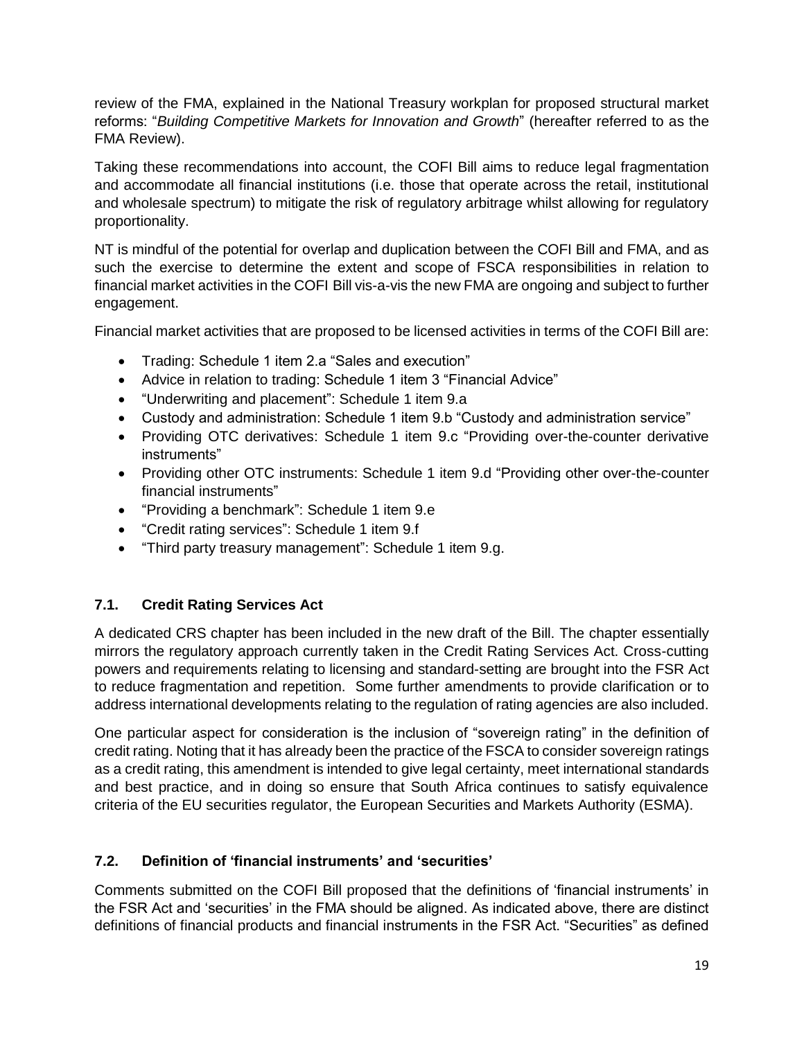review of the FMA, explained in the National Treasury workplan for proposed structural market reforms: "*Building Competitive Markets for Innovation and Growth*" (hereafter referred to as the FMA Review).

Taking these recommendations into account, the COFI Bill aims to reduce legal fragmentation and accommodate all financial institutions (i.e. those that operate across the retail, institutional and wholesale spectrum) to mitigate the risk of regulatory arbitrage whilst allowing for regulatory proportionality.

NT is mindful of the potential for overlap and duplication between the COFI Bill and FMA, and as such the exercise to determine the extent and scope of FSCA responsibilities in relation to financial market activities in the COFI Bill vis-a-vis the new FMA are ongoing and subject to further engagement.

Financial market activities that are proposed to be licensed activities in terms of the COFI Bill are:

- Trading: Schedule 1 item 2.a "Sales and execution"
- Advice in relation to trading: Schedule 1 item 3 "Financial Advice"
- "Underwriting and placement": Schedule 1 item 9.a
- Custody and administration: Schedule 1 item 9.b "Custody and administration service"
- Providing OTC derivatives: Schedule 1 item 9.c "Providing over-the-counter derivative instruments"
- Providing other OTC instruments: Schedule 1 item 9.d "Providing other over-the-counter financial instruments"
- "Providing a benchmark": Schedule 1 item 9.e
- "Credit rating services": Schedule 1 item 9.f
- "Third party treasury management": Schedule 1 item 9.g.

# **7.1. Credit Rating Services Act**

A dedicated CRS chapter has been included in the new draft of the Bill. The chapter essentially mirrors the regulatory approach currently taken in the Credit Rating Services Act. Cross-cutting powers and requirements relating to licensing and standard-setting are brought into the FSR Act to reduce fragmentation and repetition. Some further amendments to provide clarification or to address international developments relating to the regulation of rating agencies are also included.

One particular aspect for consideration is the inclusion of "sovereign rating" in the definition of credit rating. Noting that it has already been the practice of the FSCA to consider sovereign ratings as a credit rating, this amendment is intended to give legal certainty, meet international standards and best practice, and in doing so ensure that South Africa continues to satisfy equivalence criteria of the EU securities regulator, the European Securities and Markets Authority (ESMA).

#### **7.2. Definition of 'financial instruments' and 'securities'**

Comments submitted on the COFI Bill proposed that the definitions of 'financial instruments' in the FSR Act and 'securities' in the FMA should be aligned. As indicated above, there are distinct definitions of financial products and financial instruments in the FSR Act. "Securities" as defined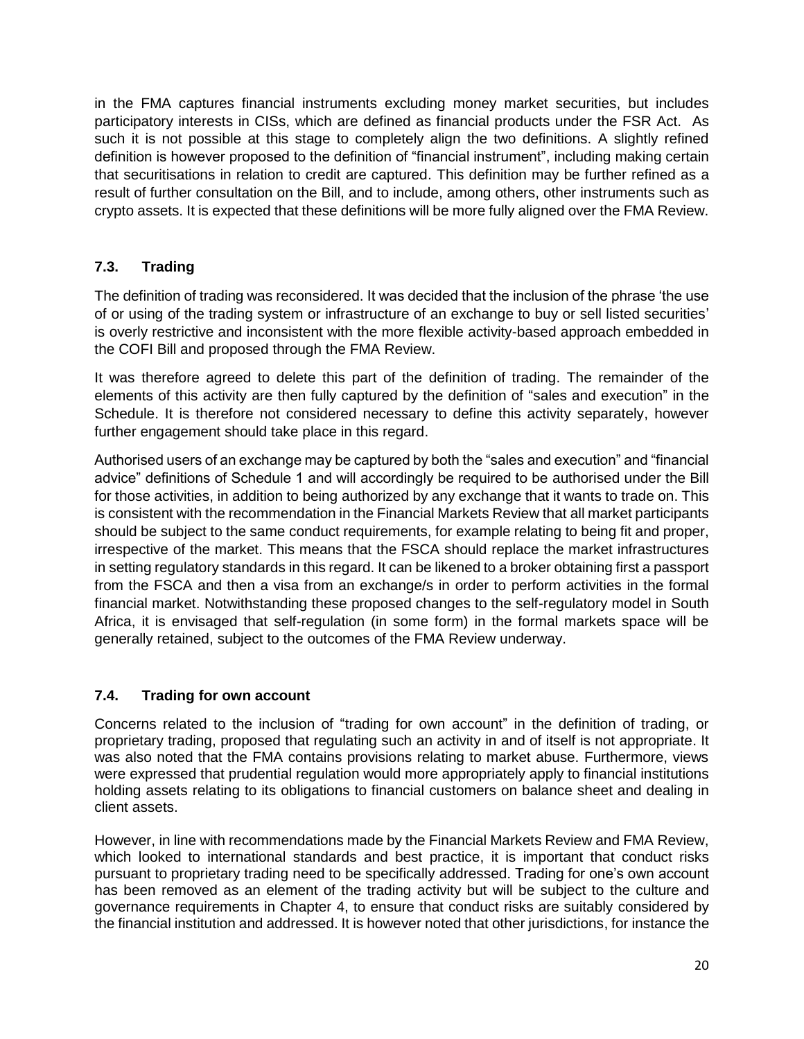in the FMA captures financial instruments excluding money market securities, but includes participatory interests in CISs, which are defined as financial products under the FSR Act. As such it is not possible at this stage to completely align the two definitions. A slightly refined definition is however proposed to the definition of "financial instrument", including making certain that securitisations in relation to credit are captured. This definition may be further refined as a result of further consultation on the Bill, and to include, among others, other instruments such as crypto assets. It is expected that these definitions will be more fully aligned over the FMA Review.

# **7.3. Trading**

The definition of trading was reconsidered. It was decided that the inclusion of the phrase 'the use of or using of the trading system or infrastructure of an exchange to buy or sell listed securities' is overly restrictive and inconsistent with the more flexible activity-based approach embedded in the COFI Bill and proposed through the FMA Review.

It was therefore agreed to delete this part of the definition of trading. The remainder of the elements of this activity are then fully captured by the definition of "sales and execution" in the Schedule. It is therefore not considered necessary to define this activity separately, however further engagement should take place in this regard.

Authorised users of an exchange may be captured by both the "sales and execution" and "financial advice" definitions of Schedule 1 and will accordingly be required to be authorised under the Bill for those activities, in addition to being authorized by any exchange that it wants to trade on. This is consistent with the recommendation in the Financial Markets Review that all market participants should be subject to the same conduct requirements, for example relating to being fit and proper, irrespective of the market. This means that the FSCA should replace the market infrastructures in setting regulatory standards in this regard. It can be likened to a broker obtaining first a passport from the FSCA and then a visa from an exchange/s in order to perform activities in the formal financial market. Notwithstanding these proposed changes to the self-regulatory model in South Africa, it is envisaged that self-regulation (in some form) in the formal markets space will be generally retained, subject to the outcomes of the FMA Review underway.

# **7.4. Trading for own account**

Concerns related to the inclusion of "trading for own account" in the definition of trading, or proprietary trading, proposed that regulating such an activity in and of itself is not appropriate. It was also noted that the FMA contains provisions relating to market abuse. Furthermore, views were expressed that prudential regulation would more appropriately apply to financial institutions holding assets relating to its obligations to financial customers on balance sheet and dealing in client assets.

However, in line with recommendations made by the Financial Markets Review and FMA Review, which looked to international standards and best practice, it is important that conduct risks pursuant to proprietary trading need to be specifically addressed. Trading for one's own account has been removed as an element of the trading activity but will be subject to the culture and governance requirements in Chapter 4, to ensure that conduct risks are suitably considered by the financial institution and addressed. It is however noted that other jurisdictions, for instance the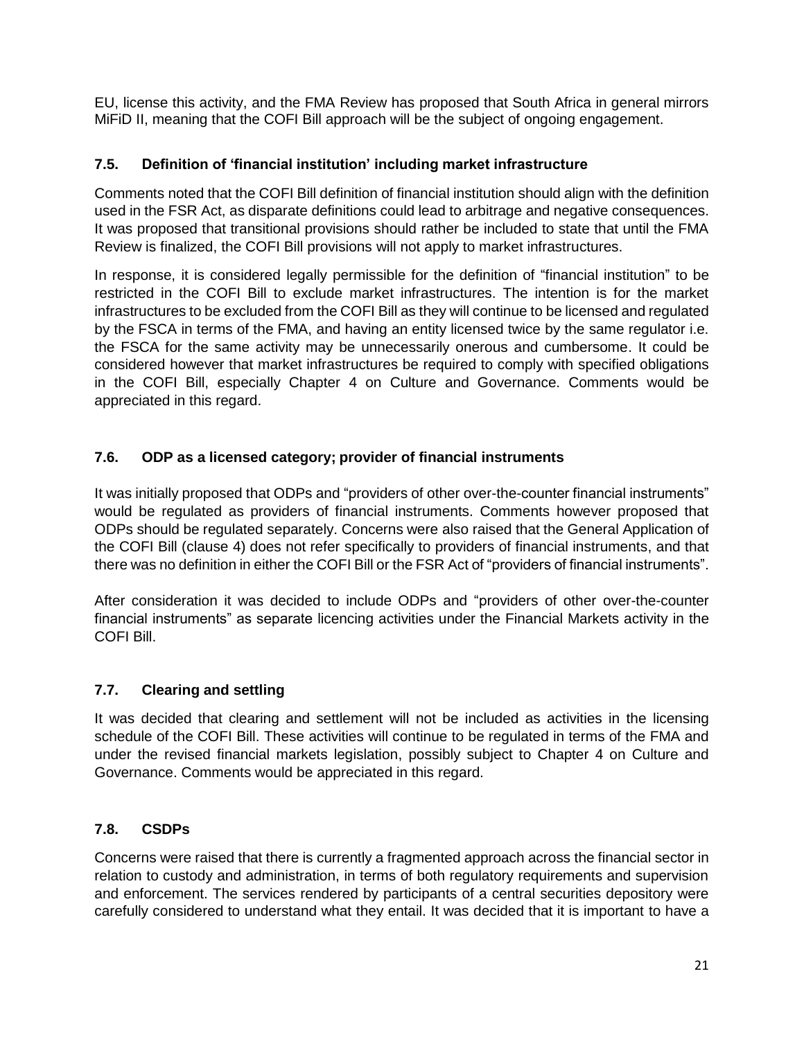EU, license this activity, and the FMA Review has proposed that South Africa in general mirrors MiFiD II, meaning that the COFI Bill approach will be the subject of ongoing engagement.

# **7.5. Definition of 'financial institution' including market infrastructure**

Comments noted that the COFI Bill definition of financial institution should align with the definition used in the FSR Act, as disparate definitions could lead to arbitrage and negative consequences. It was proposed that transitional provisions should rather be included to state that until the FMA Review is finalized, the COFI Bill provisions will not apply to market infrastructures.

In response, it is considered legally permissible for the definition of "financial institution" to be restricted in the COFI Bill to exclude market infrastructures. The intention is for the market infrastructures to be excluded from the COFI Bill as they will continue to be licensed and regulated by the FSCA in terms of the FMA, and having an entity licensed twice by the same regulator i.e. the FSCA for the same activity may be unnecessarily onerous and cumbersome. It could be considered however that market infrastructures be required to comply with specified obligations in the COFI Bill, especially Chapter 4 on Culture and Governance. Comments would be appreciated in this regard.

# **7.6. ODP as a licensed category; provider of financial instruments**

It was initially proposed that ODPs and "providers of other over-the-counter financial instruments" would be regulated as providers of financial instruments. Comments however proposed that ODPs should be regulated separately. Concerns were also raised that the General Application of the COFI Bill (clause 4) does not refer specifically to providers of financial instruments, and that there was no definition in either the COFI Bill or the FSR Act of "providers of financial instruments".

After consideration it was decided to include ODPs and "providers of other over-the-counter financial instruments" as separate licencing activities under the Financial Markets activity in the COFI Bill.

# **7.7. Clearing and settling**

It was decided that clearing and settlement will not be included as activities in the licensing schedule of the COFI Bill. These activities will continue to be regulated in terms of the FMA and under the revised financial markets legislation, possibly subject to Chapter 4 on Culture and Governance. Comments would be appreciated in this regard.

# **7.8. CSDPs**

Concerns were raised that there is currently a fragmented approach across the financial sector in relation to custody and administration, in terms of both regulatory requirements and supervision and enforcement. The services rendered by participants of a central securities depository were carefully considered to understand what they entail. It was decided that it is important to have a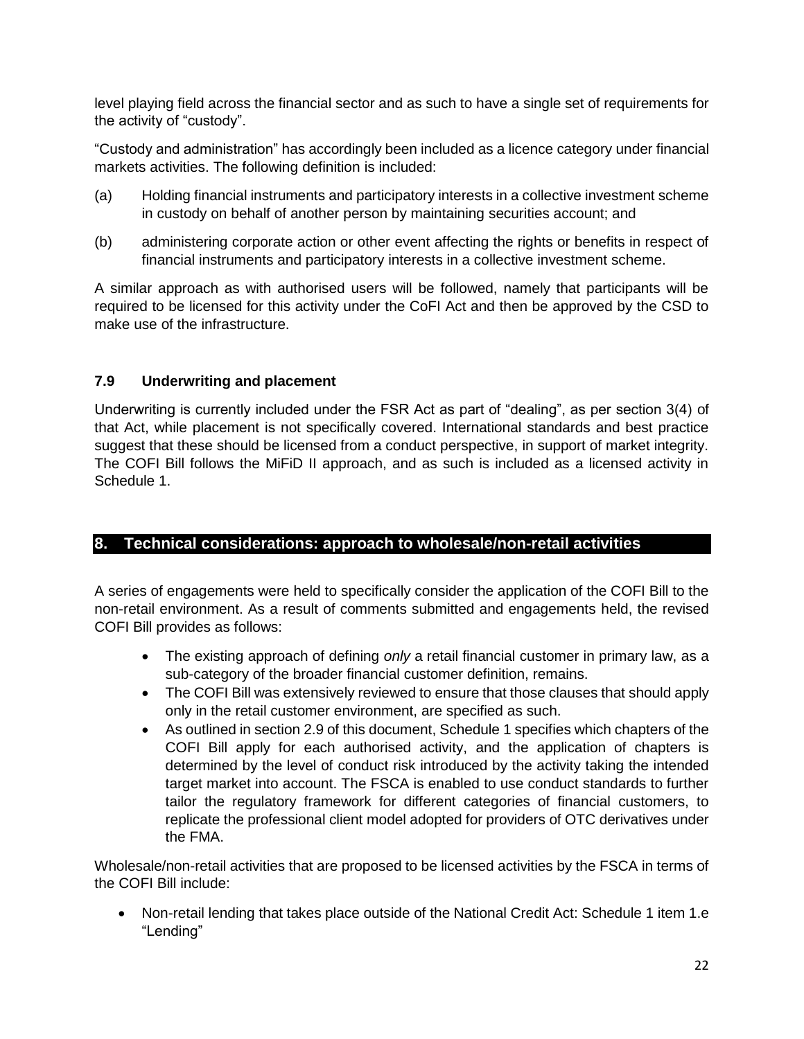level playing field across the financial sector and as such to have a single set of requirements for the activity of "custody".

"Custody and administration" has accordingly been included as a licence category under financial markets activities. The following definition is included:

- (a) Holding financial instruments and participatory interests in a collective investment scheme in custody on behalf of another person by maintaining securities account; and
- (b) administering corporate action or other event affecting the rights or benefits in respect of financial instruments and participatory interests in a collective investment scheme.

A similar approach as with authorised users will be followed, namely that participants will be required to be licensed for this activity under the CoFI Act and then be approved by the CSD to make use of the infrastructure.

# **7.9 Underwriting and placement**

Underwriting is currently included under the FSR Act as part of "dealing", as per section 3(4) of that Act, while placement is not specifically covered. International standards and best practice suggest that these should be licensed from a conduct perspective, in support of market integrity. The COFI Bill follows the MiFiD II approach, and as such is included as a licensed activity in Schedule 1.

# <span id="page-21-0"></span>**8. Technical considerations: approach to wholesale/non-retail activities**

A series of engagements were held to specifically consider the application of the COFI Bill to the non-retail environment. As a result of comments submitted and engagements held, the revised COFI Bill provides as follows:

- The existing approach of defining *only* a retail financial customer in primary law, as a sub-category of the broader financial customer definition, remains.
- The COFI Bill was extensively reviewed to ensure that those clauses that should apply only in the retail customer environment, are specified as such.
- As outlined in section 2.9 of this document, Schedule 1 specifies which chapters of the COFI Bill apply for each authorised activity, and the application of chapters is determined by the level of conduct risk introduced by the activity taking the intended target market into account. The FSCA is enabled to use conduct standards to further tailor the regulatory framework for different categories of financial customers, to replicate the professional client model adopted for providers of OTC derivatives under the FMA.

Wholesale/non-retail activities that are proposed to be licensed activities by the FSCA in terms of the COFI Bill include:

• Non-retail lending that takes place outside of the National Credit Act: Schedule 1 item 1.e "Lending"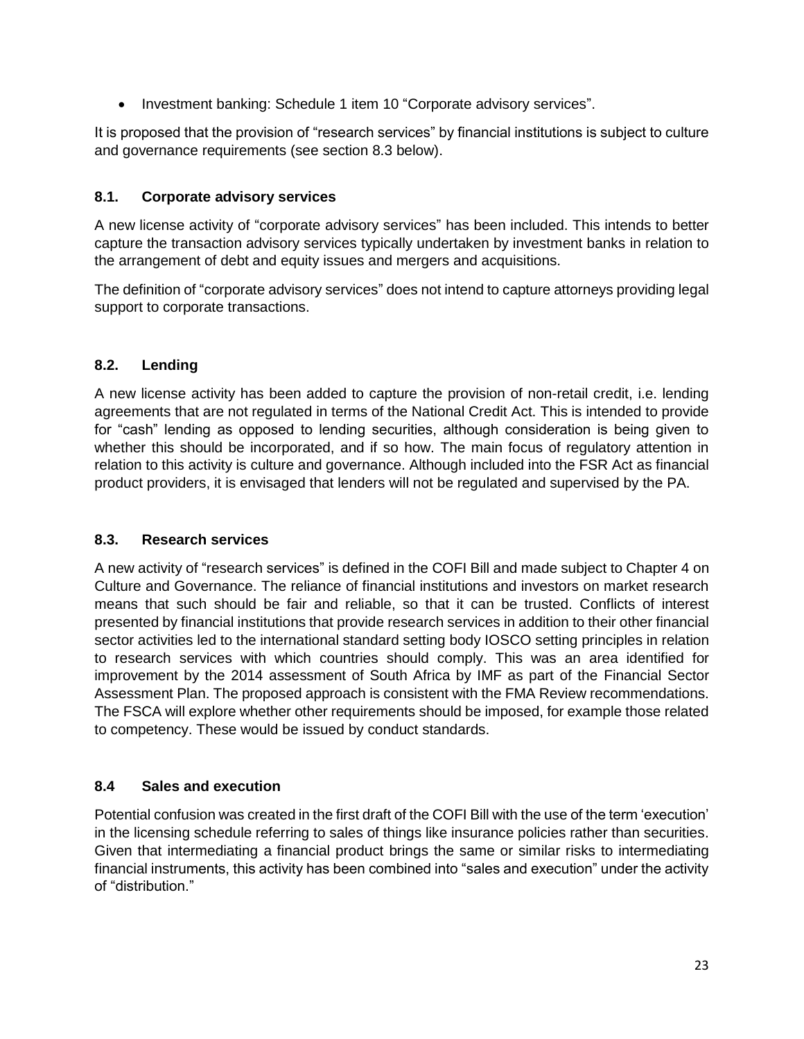• Investment banking: Schedule 1 item 10 "Corporate advisory services".

It is proposed that the provision of "research services" by financial institutions is subject to culture and governance requirements (see section 8.3 below).

# **8.1. Corporate advisory services**

A new license activity of "corporate advisory services" has been included. This intends to better capture the transaction advisory services typically undertaken by investment banks in relation to the arrangement of debt and equity issues and mergers and acquisitions.

The definition of "corporate advisory services" does not intend to capture attorneys providing legal support to corporate transactions.

# **8.2. Lending**

A new license activity has been added to capture the provision of non-retail credit, i.e. lending agreements that are not regulated in terms of the National Credit Act. This is intended to provide for "cash" lending as opposed to lending securities, although consideration is being given to whether this should be incorporated, and if so how. The main focus of regulatory attention in relation to this activity is culture and governance. Although included into the FSR Act as financial product providers, it is envisaged that lenders will not be regulated and supervised by the PA.

# **8.3. Research services**

A new activity of "research services" is defined in the COFI Bill and made subject to Chapter 4 on Culture and Governance. The reliance of financial institutions and investors on market research means that such should be fair and reliable, so that it can be trusted. Conflicts of interest presented by financial institutions that provide research services in addition to their other financial sector activities led to the international standard setting body IOSCO setting principles in relation to research services with which countries should comply. This was an area identified for improvement by the 2014 assessment of South Africa by IMF as part of the Financial Sector Assessment Plan. The proposed approach is consistent with the FMA Review recommendations. The FSCA will explore whether other requirements should be imposed, for example those related to competency. These would be issued by conduct standards.

# **8.4 Sales and execution**

Potential confusion was created in the first draft of the COFI Bill with the use of the term 'execution' in the licensing schedule referring to sales of things like insurance policies rather than securities. Given that intermediating a financial product brings the same or similar risks to intermediating financial instruments, this activity has been combined into "sales and execution" under the activity of "distribution."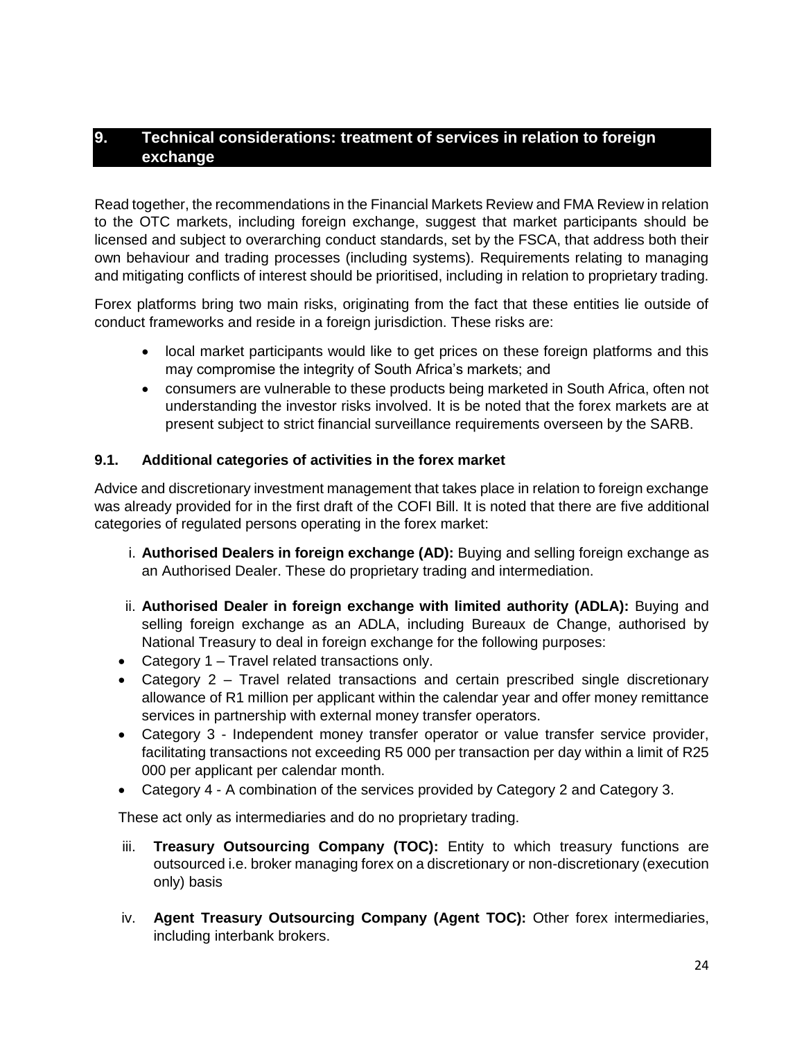# <span id="page-23-0"></span>**9. Technical considerations: treatment of services in relation to foreign exchange**

Read together, the recommendations in the Financial Markets Review and FMA Review in relation to the OTC markets, including foreign exchange, suggest that market participants should be licensed and subject to overarching conduct standards, set by the FSCA, that address both their own behaviour and trading processes (including systems). Requirements relating to managing and mitigating conflicts of interest should be prioritised, including in relation to proprietary trading.

Forex platforms bring two main risks, originating from the fact that these entities lie outside of conduct frameworks and reside in a foreign jurisdiction. These risks are:

- local market participants would like to get prices on these foreign platforms and this may compromise the integrity of South Africa's markets; and
- consumers are vulnerable to these products being marketed in South Africa, often not understanding the investor risks involved. It is be noted that the forex markets are at present subject to strict financial surveillance requirements overseen by the SARB.

#### **9.1. Additional categories of activities in the forex market**

Advice and discretionary investment management that takes place in relation to foreign exchange was already provided for in the first draft of the COFI Bill. It is noted that there are five additional categories of regulated persons operating in the forex market:

- i. **Authorised Dealers in foreign exchange (AD):** Buying and selling foreign exchange as an Authorised Dealer. These do proprietary trading and intermediation.
- ii. **Authorised Dealer in foreign exchange with limited authority (ADLA):** Buying and selling foreign exchange as an ADLA, including Bureaux de Change, authorised by National Treasury to deal in foreign exchange for the following purposes:
- Category 1 Travel related transactions only.
- Category 2 Travel related transactions and certain prescribed single discretionary allowance of R1 million per applicant within the calendar year and offer money remittance services in partnership with external money transfer operators.
- Category 3 Independent money transfer operator or value transfer service provider, facilitating transactions not exceeding R5 000 per transaction per day within a limit of R25 000 per applicant per calendar month.
- Category 4 A combination of the services provided by Category 2 and Category 3.

These act only as intermediaries and do no proprietary trading.

- iii. **Treasury Outsourcing Company (TOC):** Entity to which treasury functions are outsourced i.e. broker managing forex on a discretionary or non-discretionary (execution only) basis
- iv. **Agent Treasury Outsourcing Company (Agent TOC):** Other forex intermediaries, including interbank brokers.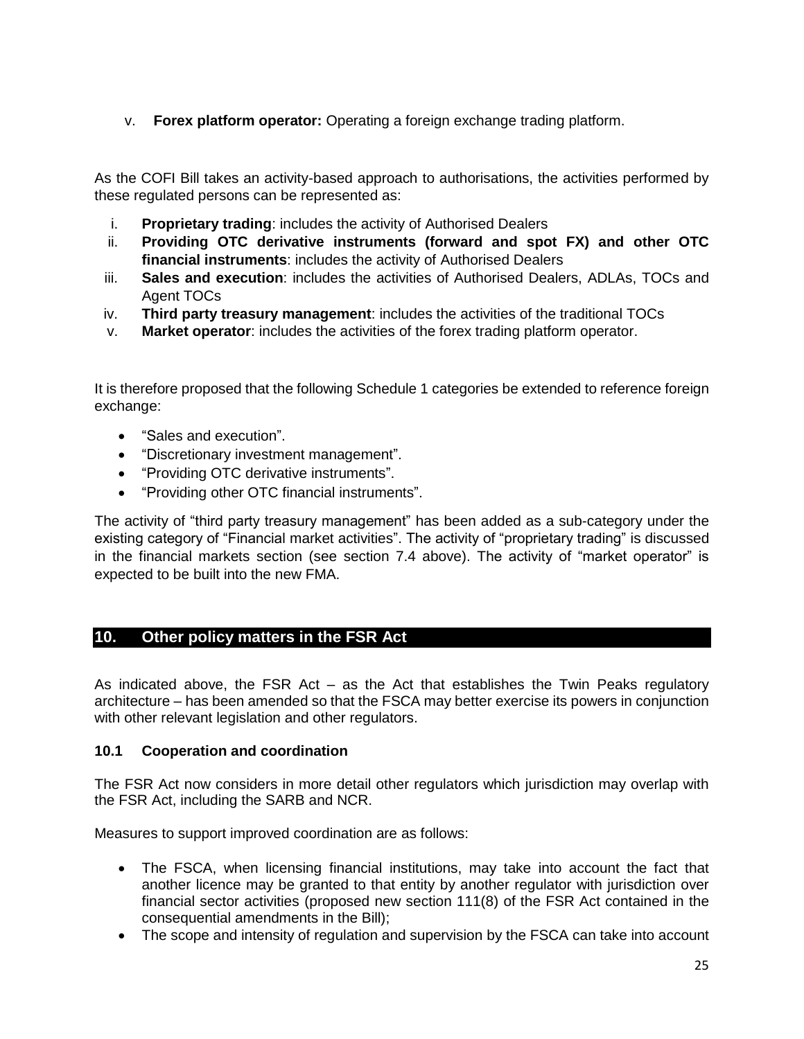v. **Forex platform operator:** Operating a foreign exchange trading platform.

As the COFI Bill takes an activity-based approach to authorisations, the activities performed by these regulated persons can be represented as:

- i. **Proprietary trading**: includes the activity of Authorised Dealers
- ii. **Providing OTC derivative instruments (forward and spot FX) and other OTC financial instruments**: includes the activity of Authorised Dealers
- iii. **Sales and execution**: includes the activities of Authorised Dealers, ADLAs, TOCs and Agent TOCs
- iv. **Third party treasury management**: includes the activities of the traditional TOCs
- v. **Market operator**: includes the activities of the forex trading platform operator.

It is therefore proposed that the following Schedule 1 categories be extended to reference foreign exchange:

- "Sales and execution".
- "Discretionary investment management".
- "Providing OTC derivative instruments".
- "Providing other OTC financial instruments".

The activity of "third party treasury management" has been added as a sub-category under the existing category of "Financial market activities". The activity of "proprietary trading" is discussed in the financial markets section (see section 7.4 above). The activity of "market operator" is expected to be built into the new FMA.

# <span id="page-24-0"></span>**10. Other policy matters in the FSR Act**

As indicated above, the FSR Act – as the Act that establishes the Twin Peaks regulatory architecture – has been amended so that the FSCA may better exercise its powers in conjunction with other relevant legislation and other regulators.

#### **10.1 Cooperation and coordination**

The FSR Act now considers in more detail other regulators which jurisdiction may overlap with the FSR Act, including the SARB and NCR.

Measures to support improved coordination are as follows:

- The FSCA, when licensing financial institutions, may take into account the fact that another licence may be granted to that entity by another regulator with jurisdiction over financial sector activities (proposed new section 111(8) of the FSR Act contained in the consequential amendments in the Bill);
- The scope and intensity of regulation and supervision by the FSCA can take into account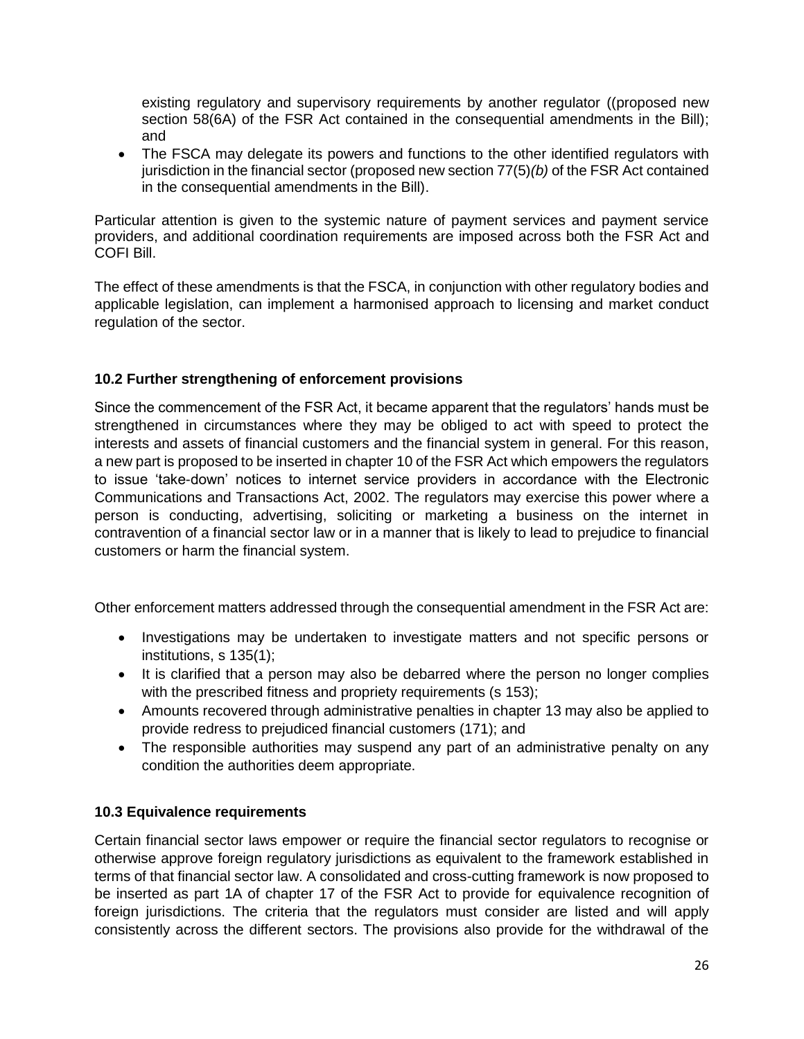existing regulatory and supervisory requirements by another regulator ((proposed new section 58(6A) of the FSR Act contained in the consequential amendments in the Bill); and

• The FSCA may delegate its powers and functions to the other identified regulators with jurisdiction in the financial sector (proposed new section 77(5)*(b)* of the FSR Act contained in the consequential amendments in the Bill).

Particular attention is given to the systemic nature of payment services and payment service providers, and additional coordination requirements are imposed across both the FSR Act and COFI Bill.

The effect of these amendments is that the FSCA, in conjunction with other regulatory bodies and applicable legislation, can implement a harmonised approach to licensing and market conduct regulation of the sector.

#### **10.2 Further strengthening of enforcement provisions**

Since the commencement of the FSR Act, it became apparent that the regulators' hands must be strengthened in circumstances where they may be obliged to act with speed to protect the interests and assets of financial customers and the financial system in general. For this reason, a new part is proposed to be inserted in chapter 10 of the FSR Act which empowers the regulators to issue 'take-down' notices to internet service providers in accordance with the Electronic Communications and Transactions Act, 2002. The regulators may exercise this power where a person is conducting, advertising, soliciting or marketing a business on the internet in contravention of a financial sector law or in a manner that is likely to lead to prejudice to financial customers or harm the financial system.

Other enforcement matters addressed through the consequential amendment in the FSR Act are:

- Investigations may be undertaken to investigate matters and not specific persons or institutions, s 135(1);
- It is clarified that a person may also be debarred where the person no longer complies with the prescribed fitness and propriety requirements (s 153);
- Amounts recovered through administrative penalties in chapter 13 may also be applied to provide redress to prejudiced financial customers (171); and
- The responsible authorities may suspend any part of an administrative penalty on any condition the authorities deem appropriate.

#### **10.3 Equivalence requirements**

Certain financial sector laws empower or require the financial sector regulators to recognise or otherwise approve foreign regulatory jurisdictions as equivalent to the framework established in terms of that financial sector law. A consolidated and cross-cutting framework is now proposed to be inserted as part 1A of chapter 17 of the FSR Act to provide for equivalence recognition of foreign jurisdictions. The criteria that the regulators must consider are listed and will apply consistently across the different sectors. The provisions also provide for the withdrawal of the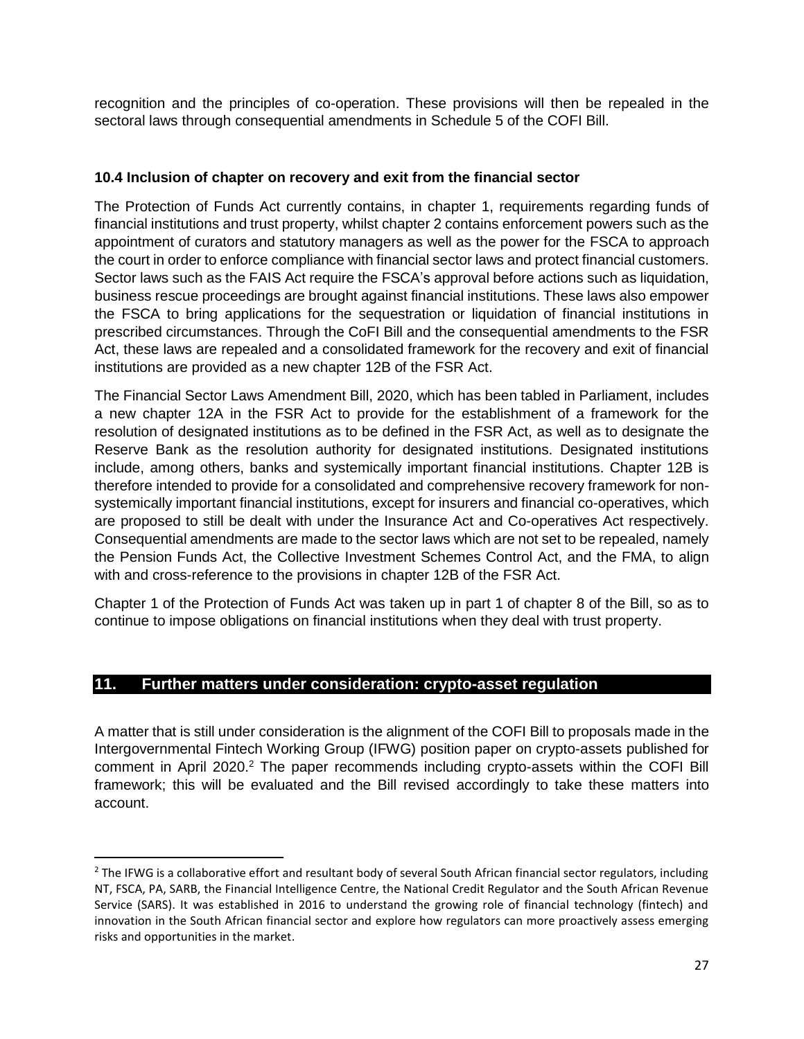recognition and the principles of co-operation. These provisions will then be repealed in the sectoral laws through consequential amendments in Schedule 5 of the COFI Bill.

### **10.4 Inclusion of chapter on recovery and exit from the financial sector**

The Protection of Funds Act currently contains, in chapter 1, requirements regarding funds of financial institutions and trust property, whilst chapter 2 contains enforcement powers such as the appointment of curators and statutory managers as well as the power for the FSCA to approach the court in order to enforce compliance with financial sector laws and protect financial customers. Sector laws such as the FAIS Act require the FSCA's approval before actions such as liquidation, business rescue proceedings are brought against financial institutions. These laws also empower the FSCA to bring applications for the sequestration or liquidation of financial institutions in prescribed circumstances. Through the CoFI Bill and the consequential amendments to the FSR Act, these laws are repealed and a consolidated framework for the recovery and exit of financial institutions are provided as a new chapter 12B of the FSR Act.

The Financial Sector Laws Amendment Bill, 2020, which has been tabled in Parliament, includes a new chapter 12A in the FSR Act to provide for the establishment of a framework for the resolution of designated institutions as to be defined in the FSR Act, as well as to designate the Reserve Bank as the resolution authority for designated institutions. Designated institutions include, among others, banks and systemically important financial institutions. Chapter 12B is therefore intended to provide for a consolidated and comprehensive recovery framework for nonsystemically important financial institutions, except for insurers and financial co-operatives, which are proposed to still be dealt with under the Insurance Act and Co-operatives Act respectively. Consequential amendments are made to the sector laws which are not set to be repealed, namely the Pension Funds Act, the Collective Investment Schemes Control Act, and the FMA, to align with and cross-reference to the provisions in chapter 12B of the FSR Act.

Chapter 1 of the Protection of Funds Act was taken up in part 1 of chapter 8 of the Bill, so as to continue to impose obligations on financial institutions when they deal with trust property.

# <span id="page-26-0"></span>**11. Further matters under consideration: crypto-asset regulation**

 $\overline{\phantom{a}}$ 

A matter that is still under consideration is the alignment of the COFI Bill to proposals made in the Intergovernmental Fintech Working Group (IFWG) position paper on crypto-assets published for comment in April 2020.<sup>2</sup> The paper recommends including crypto-assets within the COFI Bill framework; this will be evaluated and the Bill revised accordingly to take these matters into account.

 $2$  The IFWG is a collaborative effort and resultant body of several South African financial sector regulators, including NT, FSCA, PA, SARB, the Financial Intelligence Centre, the National Credit Regulator and the South African Revenue Service (SARS). It was established in 2016 to understand the growing role of financial technology (fintech) and innovation in the South African financial sector and explore how regulators can more proactively assess emerging risks and opportunities in the market.